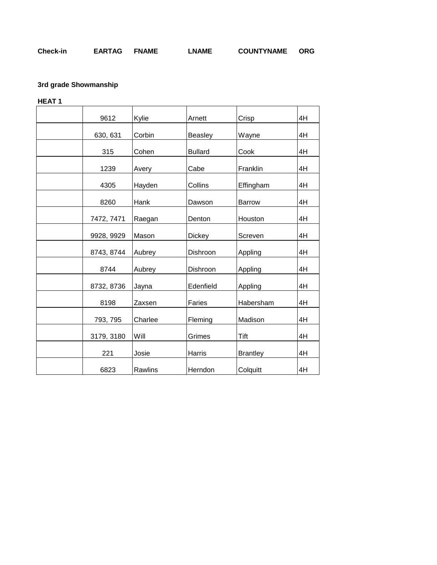## **3rd grade Showmanship**

| 9612       | Kylie   | Arnett         | Crisp           | 4H |
|------------|---------|----------------|-----------------|----|
| 630, 631   | Corbin  | Beasley        | Wayne           | 4H |
| 315        | Cohen   | <b>Bullard</b> | Cook            | 4H |
| 1239       | Avery   | Cabe           | Franklin        | 4H |
| 4305       | Hayden  | Collins        | Effingham       | 4H |
| 8260       | Hank    | Dawson         | <b>Barrow</b>   | 4H |
| 7472, 7471 | Raegan  | Denton         | Houston         | 4H |
| 9928, 9929 | Mason   | Dickey         | Screven         | 4H |
| 8743, 8744 | Aubrey  | Dishroon       | Appling         | 4H |
| 8744       | Aubrey  | Dishroon       | Appling         | 4H |
| 8732, 8736 | Jayna   | Edenfield      | Appling         | 4H |
| 8198       | Zaxsen  | Faries         | Habersham       | 4H |
| 793, 795   | Charlee | Fleming        | Madison         | 4H |
| 3179, 3180 | Will    | Grimes         | Tift            | 4H |
| 221        | Josie   | Harris         | <b>Brantley</b> | 4H |
| 6823       | Rawlins | Herndon        | Colquitt        | 4H |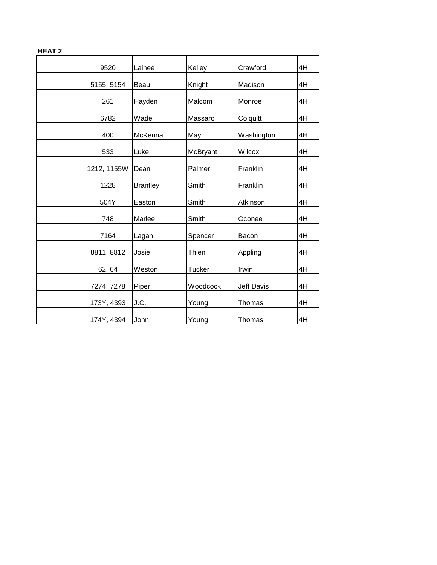| 9520        | Lainee          | Kelley        | Crawford   | 4H |
|-------------|-----------------|---------------|------------|----|
| 5155, 5154  | Beau            | Knight        | Madison    | 4H |
| 261         | Hayden          | Malcom        | Monroe     | 4H |
| 6782        | Wade            | Massaro       | Colquitt   | 4H |
| 400         | McKenna         | May           | Washington | 4H |
| 533         | Luke            | McBryant      | Wilcox     | 4H |
| 1212, 1155W | Dean            | Palmer        | Franklin   | 4H |
| 1228        | <b>Brantley</b> | Smith         | Franklin   | 4H |
| 504Y        | Easton          | Smith         | Atkinson   | 4H |
| 748         | Marlee          | Smith         | Oconee     | 4H |
| 7164        | Lagan           | Spencer       | Bacon      | 4H |
| 8811, 8812  | Josie           | Thien         | Appling    | 4H |
| 62, 64      | Weston          | <b>Tucker</b> | Irwin      | 4H |
| 7274, 7278  | Piper           | Woodcock      | Jeff Davis | 4H |
| 173Y, 4393  | J.C.            | Young         | Thomas     | 4H |
| 174Y, 4394  | John            | Young         | Thomas     | 4H |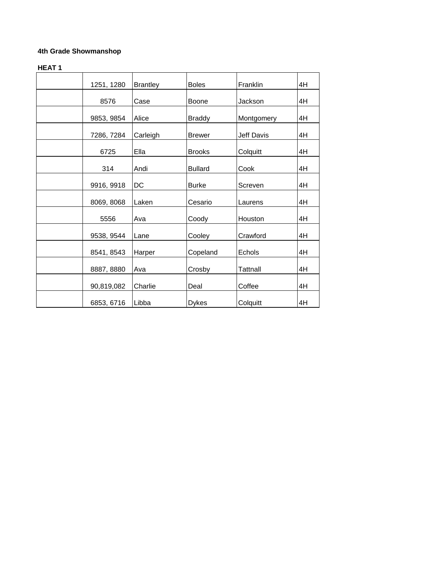| 1251, 1280               | <b>Brantley</b> | <b>Boles</b>   | Franklin          | 4H |
|--------------------------|-----------------|----------------|-------------------|----|
| 8576                     | Case            | Boone          | Jackson           | 4H |
| 9853, 9854               | Alice           | <b>Braddy</b>  | Montgomery        | 4H |
| 7286, 7284               | Carleigh        | <b>Brewer</b>  | <b>Jeff Davis</b> | 4H |
| 6725                     | Ella            | <b>Brooks</b>  | Colquitt          | 4H |
| 314                      | Andi            | <b>Bullard</b> | Cook              | 4H |
| 9916, 9918               | DC              | <b>Burke</b>   | Screven           | 4H |
| 8069, 8068               | Laken           | Cesario        | Laurens           | 4H |
| 5556                     | Ava             | Coody          | Houston           | 4H |
| 9538, 9544               | Lane            | Cooley         | Crawford          | 4H |
| 8541, 8543               | Harper          | Copeland       | Echols            | 4H |
| 8887, 8880               | Ava             | Crosby         | <b>Tattnall</b>   | 4H |
|                          | Charlie         | Deal           | Coffee            | 4H |
| 90,819,082<br>6853, 6716 | Libba           | <b>Dykes</b>   | Colquitt          | 4H |
|                          |                 |                |                   |    |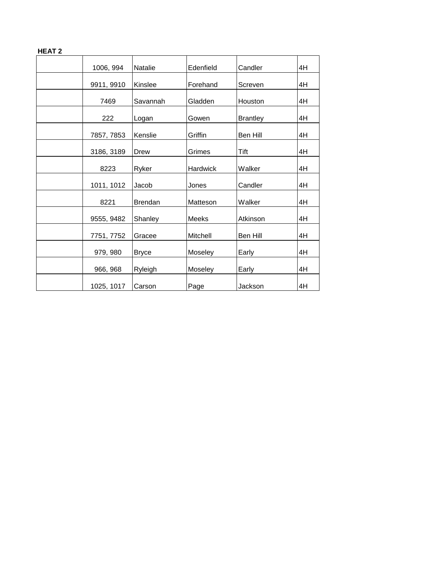|--|--|--|--|--|--|

| 1006, 994  | <b>Natalie</b> | Edenfield | Candler         | 4H |
|------------|----------------|-----------|-----------------|----|
| 9911, 9910 | Kinslee        | Forehand  | Screven         | 4H |
| 7469       | Savannah       | Gladden   | Houston         | 4H |
| 222        | Logan          | Gowen     | <b>Brantley</b> | 4H |
| 7857, 7853 | Kenslie        | Griffin   | Ben Hill        | 4H |
| 3186, 3189 | Drew           | Grimes    | Tift            | 4H |
| 8223       | Ryker          | Hardwick  | Walker          | 4H |
| 1011, 1012 | Jacob          | Jones     | Candler         | 4H |
| 8221       | <b>Brendan</b> | Matteson  | Walker          | 4H |
| 9555, 9482 | Shanley        | Meeks     | Atkinson        | 4H |
| 7751, 7752 | Gracee         | Mitchell  | Ben Hill        | 4H |
| 979, 980   | <b>Bryce</b>   | Moseley   | Early           | 4H |
| 966, 968   | Ryleigh        | Moseley   | Early           | 4H |
| 1025, 1017 | Carson         | Page      | Jackson         | 4H |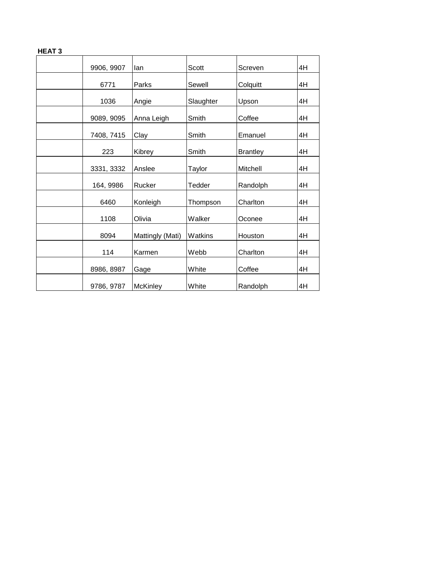| 9906, 9907 | lan              | Scott     | Screven         | 4H |
|------------|------------------|-----------|-----------------|----|
| 6771       | Parks            | Sewell    | Colquitt        | 4H |
| 1036       | Angie            | Slaughter | Upson           | 4H |
| 9089, 9095 | Anna Leigh       | Smith     | Coffee          | 4H |
| 7408, 7415 | Clay             | Smith     | Emanuel         | 4H |
| 223        | Kibrey           | Smith     | <b>Brantley</b> | 4H |
| 3331, 3332 | Anslee           | Taylor    | Mitchell        | 4H |
| 164, 9986  | Rucker           | Tedder    | Randolph        | 4H |
| 6460       | Konleigh         | Thompson  | Charlton        | 4H |
| 1108       | Olivia           | Walker    | Oconee          | 4H |
| 8094       | Mattingly (Mati) | Watkins   | Houston         | 4H |
| 114        | Karmen           | Webb      | Charlton        | 4H |
| 8986, 8987 | Gage             | White     | Coffee          | 4H |
| 9786, 9787 | McKinley         | White     | Randolph        | 4H |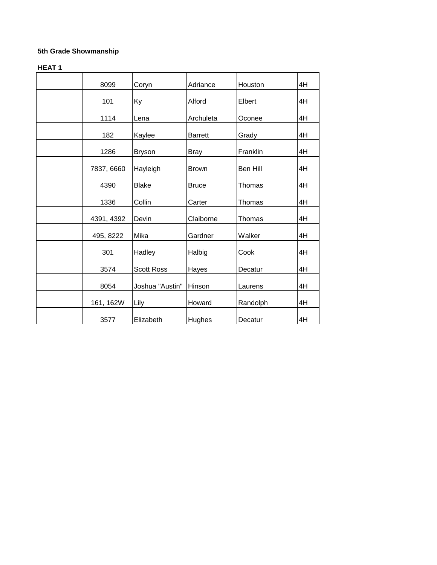| 8099       |                   | Adriance       | Houston  | 4H |
|------------|-------------------|----------------|----------|----|
|            | Coryn             |                |          |    |
| 101        | Кy                | Alford         | Elbert   | 4H |
| 1114       | Lena              | Archuleta      | Oconee   | 4H |
| 182        | Kaylee            | <b>Barrett</b> | Grady    | 4H |
| 1286       | <b>Bryson</b>     | <b>Bray</b>    | Franklin | 4H |
| 7837, 6660 | Hayleigh          | <b>Brown</b>   | Ben Hill | 4H |
| 4390       | <b>Blake</b>      | <b>Bruce</b>   | Thomas   | 4H |
| 1336       | Collin            | Carter         | Thomas   | 4H |
| 4391, 4392 | Devin             | Claiborne      | Thomas   | 4H |
| 495, 8222  | Mika              | Gardner        | Walker   | 4H |
| 301        | Hadley            | Halbig         | Cook     | 4H |
| 3574       | <b>Scott Ross</b> | Hayes          | Decatur  | 4H |
| 8054       | Joshua "Austin"   | Hinson         | Laurens  | 4H |
| 161, 162W  | Lily              | Howard         | Randolph | 4H |
| 3577       | Elizabeth         | Hughes         | Decatur  | 4H |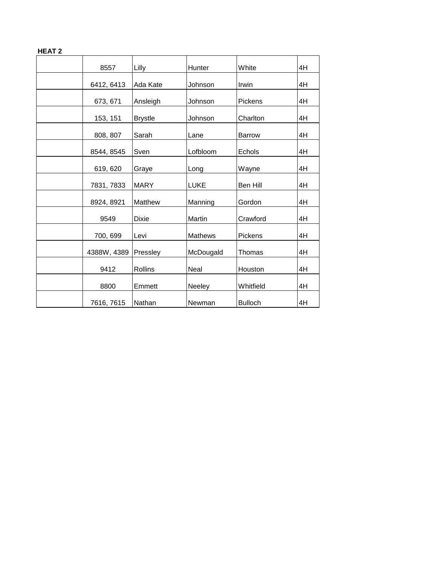|--|--|--|--|--|--|

| 8557        | Lilly          | Hunter         | White          | 4H |
|-------------|----------------|----------------|----------------|----|
| 6412, 6413  | Ada Kate       | Johnson        | Irwin          | 4H |
| 673, 671    | Ansleigh       | Johnson        | Pickens        | 4H |
| 153, 151    | <b>Brystle</b> | Johnson        | Charlton       | 4H |
| 808, 807    | Sarah          | Lane           | <b>Barrow</b>  | 4H |
| 8544, 8545  | Sven           | Lofbloom       | Echols         | 4H |
| 619, 620    | Graye          | Long           | Wayne          | 4H |
| 7831, 7833  | <b>MARY</b>    | <b>LUKE</b>    | Ben Hill       | 4H |
| 8924, 8921  | Matthew        | Manning        | Gordon         | 4H |
| 9549        | <b>Dixie</b>   | Martin         | Crawford       | 4H |
| 700, 699    | Levi           | <b>Mathews</b> | Pickens        | 4H |
| 4388W, 4389 | Pressley       | McDougald      | Thomas         | 4H |
| 9412        | <b>Rollins</b> | Neal           | Houston        | 4H |
| 8800        | Emmett         | Neeley         | Whitfield      | 4H |
| 7616, 7615  | Nathan         | Newman         | <b>Bulloch</b> | 4H |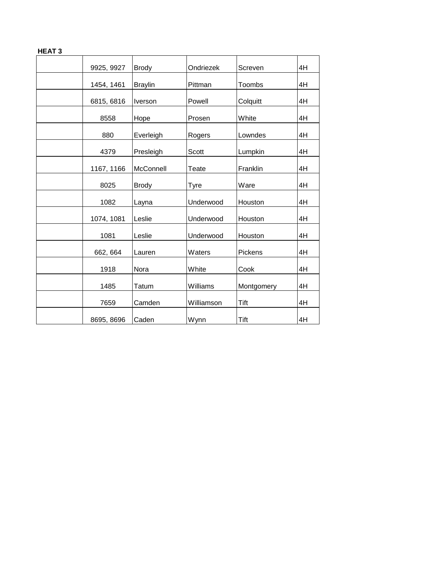|--|--|

| 9925, 9927 | <b>Brody</b>   | Ondriezek  | Screven    | 4H |
|------------|----------------|------------|------------|----|
| 1454, 1461 | <b>Braylin</b> | Pittman    | Toombs     | 4H |
| 6815, 6816 | Iverson        | Powell     | Colquitt   | 4H |
| 8558       | Hope           | Prosen     | White      | 4H |
| 880        | Everleigh      | Rogers     | Lowndes    | 4H |
| 4379       | Presleigh      | Scott      | Lumpkin    | 4H |
| 1167, 1166 | McConnell      | Teate      | Franklin   | 4H |
| 8025       | <b>Brody</b>   | Tyre       | Ware       | 4H |
| 1082       | Layna          | Underwood  | Houston    | 4H |
| 1074, 1081 | Leslie         | Underwood  | Houston    | 4H |
| 1081       | Leslie         | Underwood  | Houston    | 4H |
| 662, 664   | Lauren         | Waters     | Pickens    | 4H |
| 1918       | Nora           | White      | Cook       | 4H |
| 1485       | Tatum          | Williams   | Montgomery | 4H |
| 7659       | Camden         | Williamson | Tift       | 4H |
| 8695, 8696 | Caden          | Wynn       | Tift       | 4H |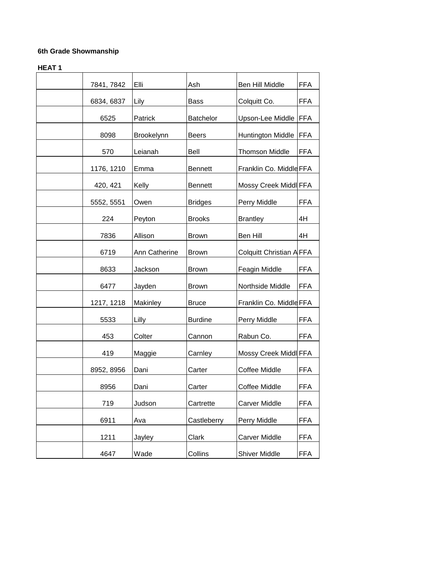| 7841, 7842 | Elli          | Ash            | Ben Hill Middle                | <b>FFA</b> |
|------------|---------------|----------------|--------------------------------|------------|
| 6834, 6837 | Lily          | Bass           | Colquitt Co.                   | <b>FFA</b> |
| 6525       | Patrick       | Batchelor      | Upson-Lee Middle               | <b>FFA</b> |
| 8098       | Brookelynn    | <b>Beers</b>   | <b>Huntington Middle</b>       | <b>FFA</b> |
| 570        | Leianah       | Bell           | <b>Thomson Middle</b>          | <b>FFA</b> |
| 1176, 1210 | Emma          | <b>Bennett</b> | Franklin Co. Middle FFA        |            |
| 420, 421   | Kelly         | <b>Bennett</b> | Mossy Creek Middl FFA          |            |
| 5552, 5551 | Owen          | <b>Bridges</b> | Perry Middle                   | <b>FFA</b> |
| 224        | Peyton        | <b>Brooks</b>  | <b>Brantley</b>                | 4H         |
| 7836       | Allison       | <b>Brown</b>   | Ben Hill                       | 4H         |
| 6719       | Ann Catherine | <b>Brown</b>   | <b>Colquitt Christian AFFA</b> |            |
| 8633       | Jackson       | <b>Brown</b>   | Feagin Middle                  | <b>FFA</b> |
| 6477       | Jayden        | <b>Brown</b>   | Northside Middle               | <b>FFA</b> |
| 1217, 1218 | Makinley      | <b>Bruce</b>   | Franklin Co. Middle FFA        |            |
| 5533       | Lilly         | <b>Burdine</b> | Perry Middle                   | <b>FFA</b> |
| 453        | Colter        | Cannon         | Rabun Co.                      | <b>FFA</b> |
| 419        | Maggie        | Carnley        | Mossy Creek Middl FFA          |            |
| 8952, 8956 | Dani          | Carter         | Coffee Middle                  | <b>FFA</b> |
| 8956       | Dani          | Carter         | Coffee Middle                  | <b>FFA</b> |
| 719        | Judson        | Cartrette      | Carver Middle                  | <b>FFA</b> |
|            |               |                |                                |            |
| 6911       | Ava           | Castleberry    | Perry Middle                   | <b>FFA</b> |
| 1211       | Jayley        | Clark          | <b>Carver Middle</b>           | <b>FFA</b> |
| 4647       | Wade          | Collins        | <b>Shiver Middle</b>           | <b>FFA</b> |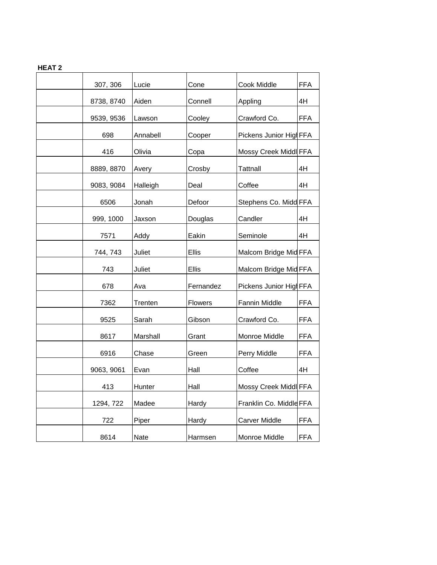| 307, 306   | Lucie    | Cone      | Cook Middle             | <b>FFA</b> |
|------------|----------|-----------|-------------------------|------------|
| 8738, 8740 | Aiden    | Connell   | Appling                 | 4H         |
| 9539, 9536 | Lawson   | Cooley    | Crawford Co.            | <b>FFA</b> |
| 698        | Annabell | Cooper    | Pickens Junior HighFFA  |            |
| 416        | Olivia   | Copa      | Mossy Creek Middl FFA   |            |
| 8889, 8870 | Avery    | Crosby    | <b>Tattnall</b>         | 4H         |
| 9083, 9084 | Halleigh | Deal      | Coffee                  | 4H         |
| 6506       | Jonah    | Defoor    | Stephens Co. Midd FFA   |            |
| 999, 1000  | Jaxson   | Douglas   | Candler                 | 4H         |
| 7571       | Addy     | Eakin     | Seminole                | 4H         |
| 744, 743   | Juliet   | Ellis     | Malcom Bridge Mid FFA   |            |
| 743        | Juliet   | Ellis     | Malcom Bridge Mid FFA   |            |
| 678        | Ava      | Fernandez | Pickens Junior Higl FFA |            |
| 7362       | Trenten  | Flowers   | Fannin Middle           | <b>FFA</b> |
| 9525       | Sarah    | Gibson    | Crawford Co.            | <b>FFA</b> |
| 8617       | Marshall | Grant     | Monroe Middle           | FFA        |
| 6916       | Chase    | Green     | Perry Middle            | <b>FFA</b> |
| 9063, 9061 | Evan     | Hall      | Coffee                  | 4H         |
| 413        | Hunter   | Hall      | Mossy Creek Middl FFA   |            |
| 1294, 722  | Madee    | Hardy     | Franklin Co. Middle FFA |            |
| 722        | Piper    | Hardy     | Carver Middle           | FFA        |
| 8614       | Nate     | Harmsen   | Monroe Middle           | <b>FFA</b> |
|            |          |           |                         |            |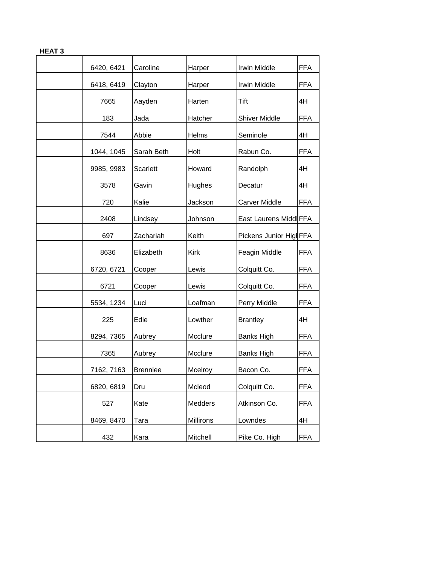| 6420, 6421 | Caroline        | Harper    | Irwin Middle           | <b>FFA</b> |
|------------|-----------------|-----------|------------------------|------------|
| 6418, 6419 | Clayton         | Harper    | Irwin Middle           | <b>FFA</b> |
| 7665       | Aayden          | Harten    | Tift                   | 4H         |
| 183        | Jada            | Hatcher   | <b>Shiver Middle</b>   | <b>FFA</b> |
| 7544       | Abbie           | Helms     | Seminole               | 4H         |
| 1044, 1045 | Sarah Beth      | Holt      | Rabun Co.              | <b>FFA</b> |
| 9985, 9983 | Scarlett        | Howard    | Randolph               | 4H         |
| 3578       | Gavin           | Hughes    | Decatur                | 4H         |
| 720        | Kalie           | Jackson   | Carver Middle          | <b>FFA</b> |
| 2408       | Lindsey         | Johnson   | East Laurens Midd FFA  |            |
| 697        | Zachariah       | Keith     | Pickens Junior HighFFA |            |
| 8636       | Elizabeth       | Kirk      | Feagin Middle          | <b>FFA</b> |
| 6720, 6721 | Cooper          | Lewis     | Colquitt Co.           | <b>FFA</b> |
| 6721       | Cooper          | Lewis     | Colquitt Co.           | <b>FFA</b> |
| 5534, 1234 | Luci            | Loafman   | Perry Middle           | <b>FFA</b> |
| 225        | Edie            | Lowther   | <b>Brantley</b>        | 4H         |
| 8294, 7365 | Aubrey          | Mcclure   | <b>Banks High</b>      | <b>FFA</b> |
| 7365       | Aubrey          | Mcclure   | Banks High             | <b>FFA</b> |
| 7162, 7163 | <b>Brennlee</b> | Mcelroy   | Bacon Co.              | <b>FFA</b> |
| 6820, 6819 | Dru             | Mcleod    | Colquitt Co.           | <b>FFA</b> |
| 527        | Kate            | Medders   | Atkinson Co.           | <b>FFA</b> |
| 8469, 8470 | Tara            | Millirons | Lowndes                | 4H         |
| 432        | Kara            | Mitchell  | Pike Co. High          | <b>FFA</b> |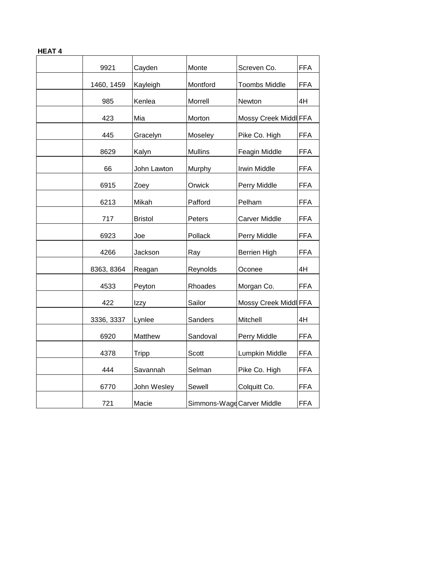| 9921       | Cayden         | Monte                      | Screven Co.           | <b>FFA</b> |
|------------|----------------|----------------------------|-----------------------|------------|
| 1460, 1459 | Kayleigh       | Montford                   | <b>Toombs Middle</b>  | <b>FFA</b> |
| 985        | Kenlea         | Morrell                    | Newton                | 4H         |
| 423        | Mia            | Morton                     | Mossy Creek Middl FFA |            |
| 445        | Gracelyn       | Moseley                    | Pike Co. High         | <b>FFA</b> |
| 8629       | Kalyn          | <b>Mullins</b>             | Feagin Middle         | <b>FFA</b> |
| 66         | John Lawton    | Murphy                     | <b>Irwin Middle</b>   | <b>FFA</b> |
| 6915       | Zoey           | Orwick                     | Perry Middle          | <b>FFA</b> |
| 6213       | Mikah          | Pafford                    | Pelham                | <b>FFA</b> |
| 717        | <b>Bristol</b> | Peters                     | <b>Carver Middle</b>  | <b>FFA</b> |
| 6923       | Joe            | Pollack                    | Perry Middle          | <b>FFA</b> |
| 4266       | Jackson        | Ray                        | <b>Berrien High</b>   | <b>FFA</b> |
| 8363, 8364 | Reagan         | Reynolds                   | Oconee                | 4H         |
| 4533       | Peyton         | Rhoades                    | Morgan Co.            | <b>FFA</b> |
| 422        | Izzy           | Sailor                     | Mossy Creek Middl FFA |            |
| 3336, 3337 | Lynlee         | Sanders                    | Mitchell              | 4H         |
| 6920       | Matthew        | Sandoval                   | Perry Middle          | <b>FFA</b> |
| 4378       | Tripp          | Scott                      | Lumpkin Middle        | <b>FFA</b> |
| 444        | Savannah       | Selman                     | Pike Co. High         | <b>FFA</b> |
| 6770       | John Wesley    | Sewell                     | Colquitt Co.          | <b>FFA</b> |
| 721        | Macie          | Simmons-Wage Carver Middle |                       | <b>FFA</b> |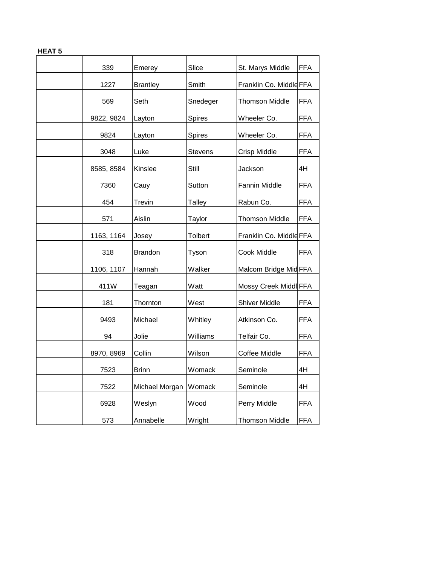| 339        | Emerey          | Slice    | St. Marys Middle        | <b>FFA</b> |
|------------|-----------------|----------|-------------------------|------------|
| 1227       | <b>Brantley</b> | Smith    | Franklin Co. Middle FFA |            |
| 569        | Seth            | Snedeger | <b>Thomson Middle</b>   | <b>FFA</b> |
| 9822, 9824 | Layton          | Spires   | Wheeler Co.             | <b>FFA</b> |
| 9824       | Layton          | Spires   | Wheeler Co.             | <b>FFA</b> |
| 3048       | Luke            | Stevens  | Crisp Middle            | <b>FFA</b> |
| 8585, 8584 | Kinslee         | Still    | Jackson                 | 4H         |
|            |                 |          |                         |            |
| 7360       | Cauy            | Sutton   | Fannin Middle           | <b>FFA</b> |
| 454        | <b>Trevin</b>   | Talley   | Rabun Co.               | <b>FFA</b> |
| 571        | Aislin          | Taylor   | <b>Thomson Middle</b>   | <b>FFA</b> |
| 1163, 1164 | Josey           | Tolbert  | Franklin Co. Middle FFA |            |
| 318        | <b>Brandon</b>  | Tyson    | Cook Middle             | <b>FFA</b> |
| 1106, 1107 | Hannah          | Walker   | Malcom Bridge Mid FFA   |            |
| 411W       | Teagan          | Watt     | Mossy Creek Middl FFA   |            |
| 181        | Thornton        | West     | <b>Shiver Middle</b>    | <b>FFA</b> |
| 9493       | Michael         | Whitley  | Atkinson Co.            | <b>FFA</b> |
| 94         | Jolie           | Williams | Telfair Co.             | <b>FFA</b> |
| 8970, 8969 | Collin          | Wilson   | Coffee Middle           | <b>FFA</b> |
| 7523       | <b>Brinn</b>    | Womack   | Seminole                | 4H         |
| 7522       | Michael Morgan  | Womack   | Seminole                | 4H         |
| 6928       | Weslyn          | Wood     | Perry Middle            | <b>FFA</b> |
| 573        | Annabelle       | Wright   | <b>Thomson Middle</b>   | <b>FFA</b> |
|            |                 |          |                         |            |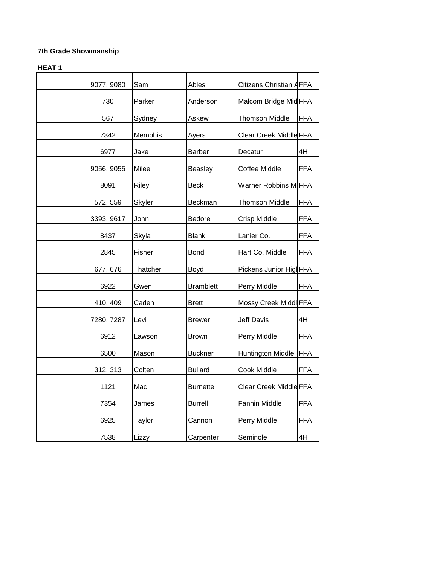| 9077, 9080 | Sam      | Ables            | Citizens Christian AFFA       |            |
|------------|----------|------------------|-------------------------------|------------|
| 730        | Parker   | Anderson         | Malcom Bridge Mid FFA         |            |
| 567        | Sydney   | Askew            | <b>Thomson Middle</b>         | <b>FFA</b> |
| 7342       | Memphis  | Ayers            | Clear Creek Middle FFA        |            |
| 6977       | Jake     | <b>Barber</b>    | Decatur                       | 4H         |
| 9056, 9055 | Milee    | Beasley          | Coffee Middle                 | <b>FFA</b> |
| 8091       | Riley    | <b>Beck</b>      | Warner Robbins MIFFA          |            |
| 572, 559   | Skyler   | Beckman          | <b>Thomson Middle</b>         | <b>FFA</b> |
| 3393, 9617 | John     | Bedore           | Crisp Middle                  | <b>FFA</b> |
| 8437       | Skyla    | <b>Blank</b>     | Lanier Co.                    | <b>FFA</b> |
| 2845       | Fisher   | <b>Bond</b>      | Hart Co. Middle               | <b>FFA</b> |
| 677, 676   | Thatcher | Boyd             | Pickens Junior High FFA       |            |
| 6922       | Gwen     | <b>Bramblett</b> | Perry Middle                  | <b>FFA</b> |
| 410, 409   | Caden    | <b>Brett</b>     | Mossy Creek Middl FFA         |            |
| 7280, 7287 | Levi     | <b>Brewer</b>    | Jeff Davis                    | 4H         |
| 6912       | Lawson   | <b>Brown</b>     | Perry Middle                  | <b>FFA</b> |
| 6500       | Mason    | <b>Buckner</b>   | <b>Huntington Middle</b>      | <b>FFA</b> |
| 312, 313   | Colten   | <b>Bullard</b>   | Cook Middle                   | <b>FFA</b> |
| 1121       | Mac      | <b>Burnette</b>  | <b>Clear Creek Middle FFA</b> |            |
| 7354       | James    | <b>Burrell</b>   | Fannin Middle                 | <b>FFA</b> |
| 6925       | Taylor   | Cannon           | Perry Middle                  | <b>FFA</b> |
| 7538       | Lizzy    | Carpenter        | Seminole                      | 4H         |
|            |          |                  |                               |            |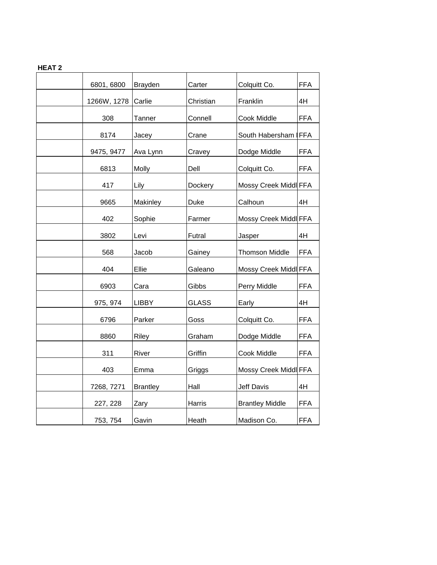| 6801, 6800  | <b>Brayden</b>  | Carter       | Colquitt Co.           | <b>FFA</b> |
|-------------|-----------------|--------------|------------------------|------------|
| 1266W, 1278 | Carlie          | Christian    | Franklin               | 4H         |
| 308         | Tanner          | Connell      | Cook Middle            | <b>FFA</b> |
| 8174        | Jacey           | Crane        | South Habersham        | <b>FFA</b> |
| 9475, 9477  | Ava Lynn        | Cravey       | Dodge Middle           | <b>FFA</b> |
| 6813        | Molly           | Dell         | Colquitt Co.           | <b>FFA</b> |
| 417         | Lily            | Dockery      | Mossy Creek Middl FFA  |            |
| 9665        | Makinley        | Duke         | Calhoun                | 4H         |
| 402         | Sophie          | Farmer       | Mossy Creek Middl FFA  |            |
| 3802        | Levi            | Futral       | Jasper                 | 4H         |
| 568         | Jacob           | Gainey       | <b>Thomson Middle</b>  | <b>FFA</b> |
| 404         | Ellie           | Galeano      | Mossy Creek Middl FFA  |            |
| 6903        | Cara            | Gibbs        | Perry Middle           | <b>FFA</b> |
| 975, 974    | <b>LIBBY</b>    | <b>GLASS</b> | Early                  | 4H         |
| 6796        | Parker          | Goss         | Colquitt Co.           | <b>FFA</b> |
| 8860        | Riley           | Graham       | Dodge Middle           | <b>FFA</b> |
| 311         | River           | Griffin      | Cook Middle            | <b>FFA</b> |
| 403         | Emma            | Griggs       | Mossy Creek Middl FFA  |            |
| 7268, 7271  | <b>Brantley</b> | Hall         | Jeff Davis             | 4H         |
| 227, 228    | Zary            | Harris       | <b>Brantley Middle</b> | <b>FFA</b> |
| 753, 754    | Gavin           | Heath        | Madison Co.            | <b>FFA</b> |
|             |                 |              |                        |            |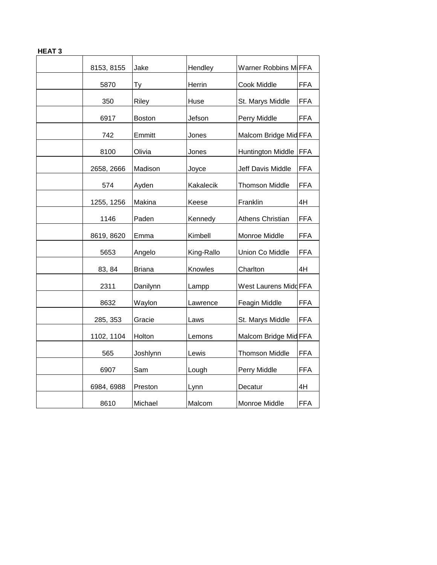| 8153, 8155 | Jake          | Hendley    | Warner Robbins MIFFA     |            |
|------------|---------------|------------|--------------------------|------------|
|            |               |            |                          |            |
| 5870       | Тy            | Herrin     | Cook Middle              | <b>FFA</b> |
| 350        | Riley         | Huse       | St. Marys Middle         | <b>FFA</b> |
| 6917       | <b>Boston</b> | Jefson     | Perry Middle             | <b>FFA</b> |
| 742        | Emmitt        | Jones      | Malcom Bridge Mid FFA    |            |
| 8100       | Olivia        | Jones      | <b>Huntington Middle</b> | <b>FFA</b> |
| 2658, 2666 | Madison       | Joyce      | Jeff Davis Middle        | <b>FFA</b> |
| 574        | Ayden         | Kakalecik  | <b>Thomson Middle</b>    | <b>FFA</b> |
| 1255, 1256 | Makina        | Keese      | Franklin                 | 4H         |
| 1146       | Paden         | Kennedy    | Athens Christian         | <b>FFA</b> |
| 8619, 8620 | Emma          | Kimbell    | Monroe Middle            | <b>FFA</b> |
| 5653       | Angelo        | King-Rallo | Union Co Middle          | <b>FFA</b> |
| 83, 84     | <b>Briana</b> | Knowles    | Charlton                 | 4H         |
| 2311       | Danilynn      | Lampp      | West Laurens Midd FFA    |            |
| 8632       | Waylon        | Lawrence   | Feagin Middle            | <b>FFA</b> |
| 285, 353   | Gracie        | Laws       | St. Marys Middle         | <b>FFA</b> |
| 1102, 1104 | Holton        | Lemons     | Malcom Bridge Mid FFA    |            |
| 565        | Joshlynn      | Lewis      | <b>Thomson Middle</b>    | <b>FFA</b> |
| 6907       | Sam           | Lough      | Perry Middle             | <b>FFA</b> |
| 6984, 6988 | Preston       | Lynn       | Decatur                  | 4H         |
| 8610       | Michael       | Malcom     | Monroe Middle            | <b>FFA</b> |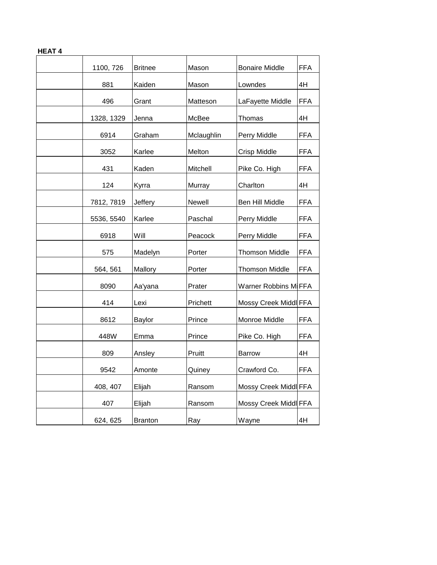| 1100, 726  | <b>Britnee</b> | Mason      | <b>Bonaire Middle</b> | <b>FFA</b> |
|------------|----------------|------------|-----------------------|------------|
| 881        | Kaiden         | Mason      | Lowndes               | 4H         |
| 496        | Grant          | Matteson   | LaFayette Middle      | <b>FFA</b> |
| 1328, 1329 | Jenna          | McBee      | Thomas                | 4H         |
| 6914       | Graham         | Mclaughlin | Perry Middle          | <b>FFA</b> |
| 3052       | Karlee         | Melton     | Crisp Middle          | <b>FFA</b> |
| 431        | Kaden          | Mitchell   | Pike Co. High         | <b>FFA</b> |
| 124        | Kyrra          | Murray     | Charlton              | 4H         |
| 7812, 7819 | Jeffery        | Newell     | Ben Hill Middle       | <b>FFA</b> |
| 5536, 5540 | Karlee         | Paschal    | Perry Middle          | <b>FFA</b> |
| 6918       | Will           | Peacock    | Perry Middle          | <b>FFA</b> |
| 575        | Madelyn        | Porter     | <b>Thomson Middle</b> | <b>FFA</b> |
| 564, 561   | Mallory        | Porter     | <b>Thomson Middle</b> | <b>FFA</b> |
| 8090       | Aa'yana        | Prater     | Warner Robbins MIFFA  |            |
| 414        | Lexi           | Prichett   | Mossy Creek Middl FFA |            |
| 8612       | <b>Baylor</b>  | Prince     | Monroe Middle         | <b>FFA</b> |
| 448W       | Emma           | Prince     | Pike Co. High         | <b>FFA</b> |
| 809        | Ansley         | Pruitt     | <b>Barrow</b>         | 4H         |
| 9542       | Amonte         | Quiney     | Crawford Co.          | <b>FFA</b> |
| 408, 407   | Elijah         | Ransom     | Mossy Creek Middl FFA |            |
| 407        | Elijah         | Ransom     | Mossy Creek Middl FFA |            |
| 624, 625   | <b>Branton</b> | Ray        | Wayne                 | 4H         |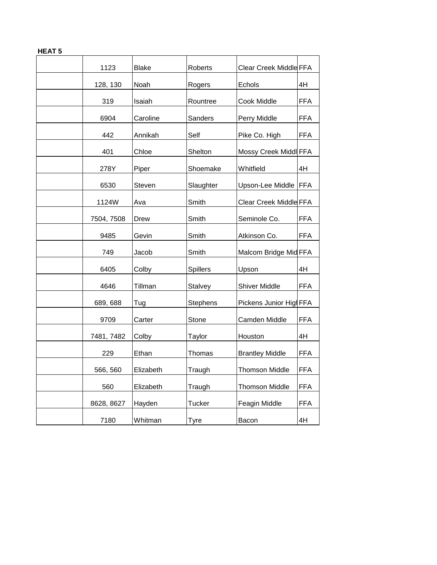| 1123       | <b>Blake</b> | Roberts       | Clear Creek Middle FFA  |            |
|------------|--------------|---------------|-------------------------|------------|
| 128, 130   | Noah         | Rogers        | Echols                  | 4H         |
| 319        | Isaiah       | Rountree      | Cook Middle             | <b>FFA</b> |
| 6904       | Caroline     | Sanders       | Perry Middle            | <b>FFA</b> |
| 442        | Annikah      | Self          | Pike Co. High           | <b>FFA</b> |
| 401        | Chloe        | Shelton       | Mossy Creek Middl FFA   |            |
| 278Y       | Piper        | Shoemake      | Whitfield               | 4H         |
| 6530       | Steven       | Slaughter     | Upson-Lee Middle        | <b>FFA</b> |
| 1124W      | Ava          | Smith         | Clear Creek Middle FFA  |            |
| 7504, 7508 | Drew         | Smith         | Seminole Co.            | <b>FFA</b> |
| 9485       | Gevin        | Smith         | Atkinson Co.            | <b>FFA</b> |
| 749        | Jacob        | Smith         | Malcom Bridge Mid FFA   |            |
| 6405       | Colby        | Spillers      | Upson                   | 4H         |
| 4646       | Tillman      | Stalvey       | <b>Shiver Middle</b>    | <b>FFA</b> |
| 689, 688   | Tug          | Stephens      | Pickens Junior High FFA |            |
| 9709       | Carter       | Stone         | Camden Middle           | <b>FFA</b> |
| 7481, 7482 | Colby        | Taylor        | Houston                 | 4H         |
| 229        | Ethan        | Thomas        | <b>Brantley Middle</b>  | <b>FFA</b> |
| 566, 560   | Elizabeth    | Traugh        | <b>Thomson Middle</b>   | <b>FFA</b> |
| 560        | Elizabeth    | Traugh        | <b>Thomson Middle</b>   | <b>FFA</b> |
| 8628, 8627 | Hayden       | <b>Tucker</b> | Feagin Middle           | <b>FFA</b> |
| 7180       | Whitman      |               | Bacon                   | 4H         |
|            |              | Tyre          |                         |            |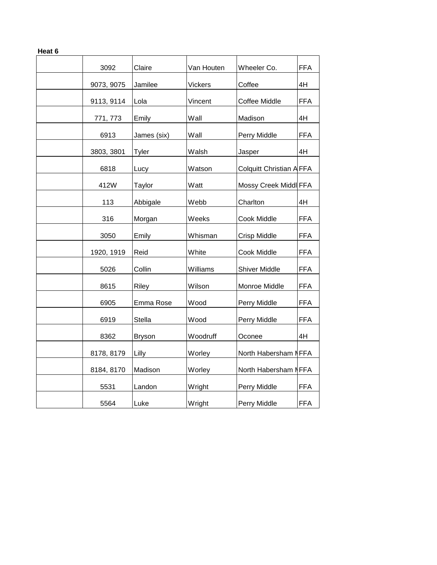| $\sim$<br>۰,<br>× |  |
|-------------------|--|
|-------------------|--|

| 3092       | Claire        | Van Houten | Wheeler Co.                    | <b>FFA</b> |
|------------|---------------|------------|--------------------------------|------------|
| 9073, 9075 | Jamilee       | Vickers    | Coffee                         | 4H         |
| 9113, 9114 | Lola          | Vincent    | Coffee Middle                  | <b>FFA</b> |
| 771, 773   | Emily         | Wall       | Madison                        | 4H         |
| 6913       | James (six)   | Wall       | Perry Middle                   | <b>FFA</b> |
| 3803, 3801 | Tyler         | Walsh      | Jasper                         | 4H         |
| 6818       | Lucy          | Watson     | <b>Colquitt Christian AFFA</b> |            |
| 412W       | Taylor        | Watt       | Mossy Creek Middl FFA          |            |
| 113        | Abbigale      | Webb       | Charlton                       | 4H         |
| 316        | Morgan        | Weeks      | Cook Middle                    | <b>FFA</b> |
| 3050       | Emily         | Whisman    | Crisp Middle                   | <b>FFA</b> |
| 1920, 1919 | Reid          | White      | Cook Middle                    | <b>FFA</b> |
| 5026       | Collin        | Williams   | <b>Shiver Middle</b>           | <b>FFA</b> |
| 8615       | Riley         | Wilson     | Monroe Middle                  | <b>FFA</b> |
| 6905       | Emma Rose     | Wood       | Perry Middle                   | <b>FFA</b> |
| 6919       | Stella        | Wood       | Perry Middle                   | <b>FFA</b> |
| 8362       | <b>Bryson</b> | Woodruff   | Oconee                         | 4H         |
| 8178, 8179 | Lilly         | Worley     | North Habersham NFFA           |            |
| 8184, 8170 | Madison       | Worley     | North Habersham NFFA           |            |
| 5531       | Landon        | Wright     | Perry Middle                   | <b>FFA</b> |
| 5564       | Luke          | Wright     | Perry Middle                   | <b>FFA</b> |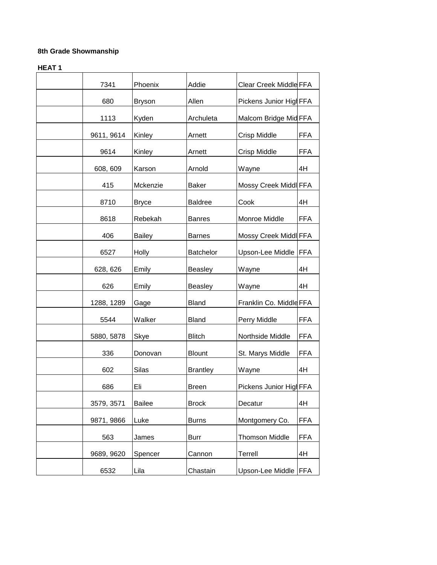| 7341       | Phoenix       | Addie           | <b>Clear Creek Middle FFA</b> |            |
|------------|---------------|-----------------|-------------------------------|------------|
| 680        | <b>Bryson</b> | Allen           | Pickens Junior HighFFA        |            |
| 1113       | Kyden         | Archuleta       | Malcom Bridge Mid FFA         |            |
| 9611, 9614 | Kinley        | Arnett          | Crisp Middle                  | <b>FFA</b> |
| 9614       | Kinley        | Arnett          | Crisp Middle                  | <b>FFA</b> |
| 608, 609   | Karson        | Arnold          | Wayne                         | 4H         |
| 415        | Mckenzie      | <b>Baker</b>    | Mossy Creek Middl FFA         |            |
| 8710       | <b>Bryce</b>  | <b>Baldree</b>  | Cook                          | 4H         |
| 8618       | Rebekah       | <b>Banres</b>   | Monroe Middle                 | <b>FFA</b> |
| 406        | <b>Bailey</b> | <b>Barnes</b>   | Mossy Creek Middl FFA         |            |
| 6527       | Holly         | Batchelor       | Upson-Lee Middle FFA          |            |
| 628, 626   | Emily         | <b>Beasley</b>  | Wayne                         | 4H         |
| 626        | Emily         | <b>Beasley</b>  | Wayne                         | 4H         |
| 1288, 1289 | Gage          | <b>Bland</b>    | Franklin Co. Middle FFA       |            |
| 5544       | Walker        | <b>Bland</b>    | Perry Middle                  | <b>FFA</b> |
| 5880, 5878 | Skye          | <b>Blitch</b>   | Northside Middle              | <b>FFA</b> |
| 336        | Donovan       | <b>Blount</b>   | St. Marys Middle              | <b>FFA</b> |
| 602        | Silas         | <b>Brantley</b> | Wayne                         | 4H         |
| 686        | Eli           | <b>Breen</b>    | Pickens Junior HighFFA        |            |
| 3579, 3571 | <b>Bailee</b> | <b>Brock</b>    | Decatur                       | 4H         |
| 9871, 9866 | Luke          | <b>Burns</b>    | Montgomery Co.                | <b>FFA</b> |
| 563        | James         | <b>Burr</b>     | <b>Thomson Middle</b>         | <b>FFA</b> |
| 9689, 9620 | Spencer       | Cannon          | Terrell                       | 4H         |
| 6532       | Lila          | Chastain        | Upson-Lee Middle   FFA        |            |
|            |               |                 |                               |            |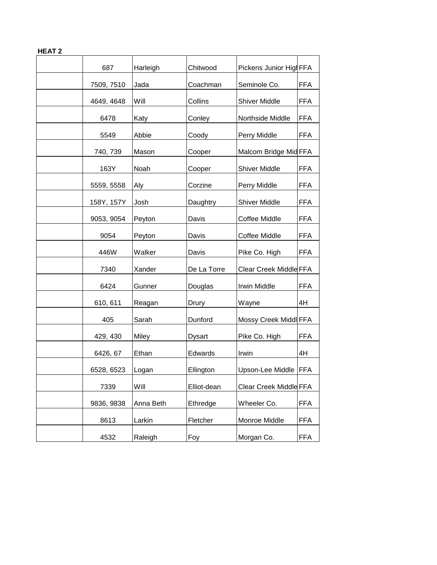| 687        | Harleigh  | Chitwood    | Pickens Junior HighFFA        |            |
|------------|-----------|-------------|-------------------------------|------------|
| 7509, 7510 | Jada      | Coachman    | Seminole Co.                  | <b>FFA</b> |
| 4649, 4648 | Will      | Collins     | Shiver Middle                 | <b>FFA</b> |
| 6478       | Katy      | Conley      | Northside Middle              | <b>FFA</b> |
| 5549       | Abbie     | Coody       | Perry Middle                  | <b>FFA</b> |
| 740, 739   | Mason     | Cooper      | Malcom Bridge Mid FFA         |            |
| 163Y       | Noah      | Cooper      | <b>Shiver Middle</b>          | <b>FFA</b> |
| 5559, 5558 | Aly       | Corzine     | Perry Middle                  | <b>FFA</b> |
| 158Y, 157Y | Josh      | Daughtry    | <b>Shiver Middle</b>          | <b>FFA</b> |
| 9053, 9054 | Peyton    | Davis       | Coffee Middle                 | <b>FFA</b> |
| 9054       | Peyton    | Davis       | Coffee Middle                 | <b>FFA</b> |
| 446W       | Walker    | Davis       | Pike Co. High                 | <b>FFA</b> |
| 7340       | Xander    | De La Torre | <b>Clear Creek Middle FFA</b> |            |
| 6424       | Gunner    | Douglas     | <b>Irwin Middle</b>           | <b>FFA</b> |
| 610, 611   | Reagan    | Drury       | Wayne                         | 4H         |
| 405        | Sarah     | Dunford     |                               |            |
|            |           |             | Mossy Creek Middl FFA         |            |
| 429, 430   | Miley     | Dysart      | Pike Co. High                 | <b>FFA</b> |
| 6426, 67   | Ethan     | Edwards     | Irwin                         | 4H         |
| 6528, 6523 | Logan     | Ellington   | Upson-Lee Middle              | FFA        |
| 7339       | Will      | Elliot-dean | <b>Clear Creek Middle FFA</b> |            |
| 9836, 9838 | Anna Beth | Ethredge    | Wheeler Co.                   | <b>FFA</b> |
| 8613       | Larkin    | Fletcher    | Monroe Middle                 | <b>FFA</b> |
| 4532       | Raleigh   | Foy         | Morgan Co.                    | <b>FFA</b> |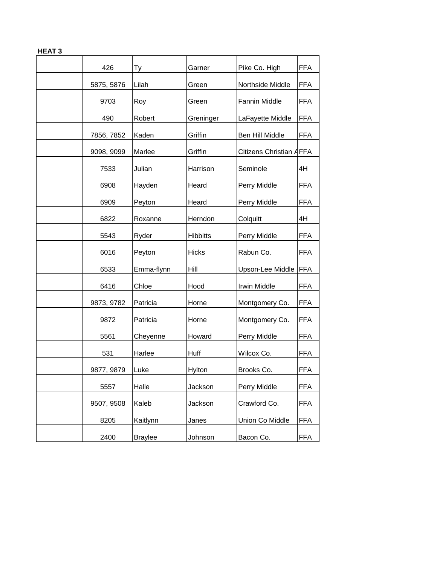| 426        | Тy             | Garner          | Pike Co. High                  | <b>FFA</b> |
|------------|----------------|-----------------|--------------------------------|------------|
| 5875, 5876 | Lilah          | Green           | Northside Middle               | <b>FFA</b> |
| 9703       | Roy            | Green           | Fannin Middle                  | <b>FFA</b> |
| 490        | Robert         | Greninger       | LaFayette Middle               | <b>FFA</b> |
| 7856, 7852 | Kaden          | Griffin         | Ben Hill Middle                | <b>FFA</b> |
| 9098, 9099 | Marlee         | Griffin         | <b>Citizens Christian AFFA</b> |            |
| 7533       | Julian         | Harrison        | Seminole                       | 4H         |
| 6908       | Hayden         | Heard           | Perry Middle                   | <b>FFA</b> |
| 6909       | Peyton         | Heard           | Perry Middle                   | <b>FFA</b> |
| 6822       | Roxanne        | Herndon         | Colquitt                       | 4H         |
| 5543       | Ryder          | <b>Hibbitts</b> | Perry Middle                   | <b>FFA</b> |
| 6016       | Peyton         | <b>Hicks</b>    | Rabun Co.                      | <b>FFA</b> |
|            | Emma-flynn     | Hill            |                                | <b>FFA</b> |
| 6533       |                |                 | Upson-Lee Middle               |            |
| 6416       | Chloe          | Hood            | Irwin Middle                   | <b>FFA</b> |
| 9873, 9782 | Patricia       | Horne           | Montgomery Co.                 | <b>FFA</b> |
| 9872       | Patricia       | Horne           | Montgomery Co.                 | <b>FFA</b> |
| 5561       | Cheyenne       | Howard          | Perry Middle                   | <b>FFA</b> |
| 531        | Harlee         | Huff            | Wilcox Co.                     | <b>FFA</b> |
| 9877, 9879 | Luke           | Hylton          | Brooks Co.                     | <b>FFA</b> |
| 5557       | Halle          | Jackson         | Perry Middle                   | <b>FFA</b> |
| 9507, 9508 | Kaleb          | Jackson         | Crawford Co.                   | <b>FFA</b> |
| 8205       | Kaitlynn       | Janes           | Union Co Middle                | <b>FFA</b> |
| 2400       | <b>Braylee</b> | Johnson         | Bacon Co.                      | <b>FFA</b> |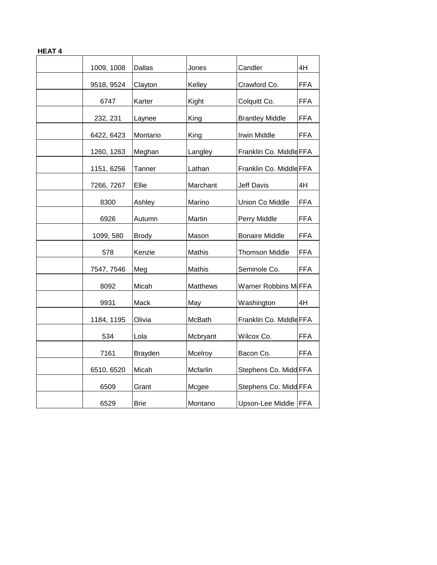|--|--|

| 1009, 1008 | Dallas         | Jones    | Candler                 | 4H         |
|------------|----------------|----------|-------------------------|------------|
| 9518, 9524 | Clayton        | Kelley   | Crawford Co.            | <b>FFA</b> |
| 6747       | Karter         | Kight    | Colquitt Co.            | <b>FFA</b> |
| 232, 231   | Laynee         | King     | <b>Brantley Middle</b>  | <b>FFA</b> |
| 6422, 6423 | Montario       | King     | Irwin Middle            | <b>FFA</b> |
| 1260, 1263 | Meghan         | Langley  | Franklin Co. Middle FFA |            |
| 1151, 6256 | Tanner         | Lathan   | Franklin Co. Middle FFA |            |
| 7266, 7267 | Ellie          | Marchant | Jeff Davis              | 4H         |
| 8300       | Ashley         | Marino   | Union Co Middle         | <b>FFA</b> |
| 6926       | Autumn         | Martin   | Perry Middle            | <b>FFA</b> |
| 1099, 580  | <b>Brody</b>   | Mason    | <b>Bonaire Middle</b>   | <b>FFA</b> |
| 578        | Kenzie         | Mathis   | <b>Thomson Middle</b>   | <b>FFA</b> |
| 7547, 7546 | Meg            | Mathis   | Seminole Co.            | <b>FFA</b> |
| 8092       | Micah          | Matthews | Warner Robbins MIFFA    |            |
| 9931       | Mack           | May      | Washington              | 4H         |
| 1184, 1195 | Olivia         | McBath   | Franklin Co. Middle FFA |            |
| 534        | Lola           | Mcbryant | Wilcox Co.              | <b>FFA</b> |
| 7161       | <b>Brayden</b> | Mcelroy  | Bacon Co.               | <b>FFA</b> |
| 6510, 6520 | Micah          | Mcfarlin | Stephens Co. Midd FFA   |            |
| 6509       | Grant          | Mcgee    | Stephens Co. Midd FFA   |            |
| 6529       | <b>Brie</b>    | Montano  | Upson-Lee Middle FFA    |            |
|            |                |          |                         |            |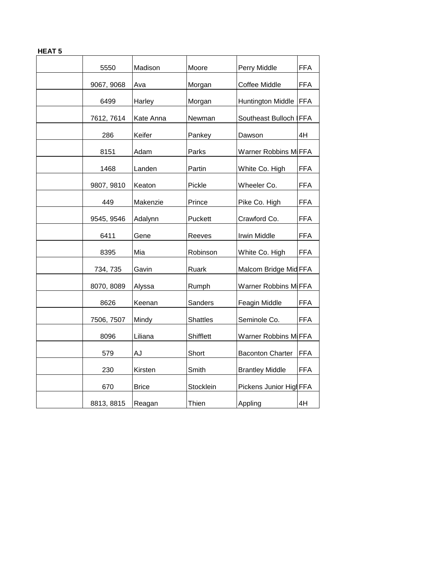| 5550       | Madison      | Moore           | Perry Middle                | <b>FFA</b> |
|------------|--------------|-----------------|-----------------------------|------------|
| 9067, 9068 | Ava          | Morgan          | Coffee Middle               | <b>FFA</b> |
| 6499       | Harley       | Morgan          | <b>Huntington Middle</b>    | <b>FFA</b> |
| 7612, 7614 | Kate Anna    | Newman          | Southeast Bulloch           | <b>FFA</b> |
| 286        | Keifer       | Pankey          | Dawson                      | 4H         |
| 8151       | Adam         | Parks           | <b>Warner Robbins MIFFA</b> |            |
| 1468       | Landen       | Partin          | White Co. High              | <b>FFA</b> |
| 9807, 9810 | Keaton       | Pickle          | Wheeler Co.                 | <b>FFA</b> |
| 449        | Makenzie     | Prince          | Pike Co. High               | <b>FFA</b> |
| 9545, 9546 | Adalynn      | Puckett         | Crawford Co.                | <b>FFA</b> |
| 6411       | Gene         | Reeves          | <b>Irwin Middle</b>         | <b>FFA</b> |
| 8395       | Mia          | Robinson        | White Co. High              | <b>FFA</b> |
| 734, 735   | Gavin        | Ruark           | Malcom Bridge Mid FFA       |            |
| 8070, 8089 | Alyssa       | Rumph           | <b>Warner Robbins MIFFA</b> |            |
| 8626       | Keenan       | Sanders         | Feagin Middle               | <b>FFA</b> |
| 7506, 7507 | Mindy        | <b>Shattles</b> | Seminole Co.                | <b>FFA</b> |
| 8096       | Liliana      | Shifflett       | Warner Robbins MIFFA        |            |
| 579        | AJ           | Short           | <b>Baconton Charter</b>     | <b>FFA</b> |
| 230        | Kirsten      | Smith           | <b>Brantley Middle</b>      | <b>FFA</b> |
| 670        | <b>Brice</b> | Stocklein       | Pickens Junior HighFFA      |            |
| 8813, 8815 | Reagan       | Thien           | Appling                     | 4H         |
|            |              |                 |                             |            |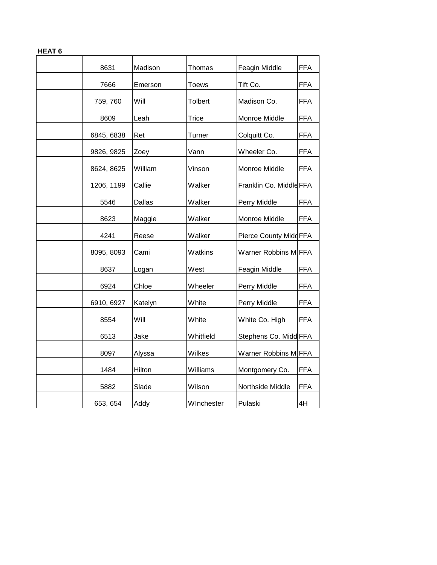| 8631       | Madison | Thomas         | Feagin Middle               | <b>FFA</b> |
|------------|---------|----------------|-----------------------------|------------|
| 7666       | Emerson | <b>Toews</b>   | Tift Co.                    | <b>FFA</b> |
| 759, 760   | Will    | <b>Tolbert</b> | Madison Co.                 | <b>FFA</b> |
| 8609       | Leah    | Trice          | Monroe Middle               | <b>FFA</b> |
| 6845, 6838 | Ret     | Turner         | Colquitt Co.                | <b>FFA</b> |
| 9826, 9825 | Zoey    | Vann           | Wheeler Co.                 | <b>FFA</b> |
| 8624, 8625 | William | Vinson         | Monroe Middle               | <b>FFA</b> |
| 1206, 1199 | Callie  | Walker         | Franklin Co. Middle FFA     |            |
| 5546       | Dallas  | Walker         | Perry Middle                | <b>FFA</b> |
| 8623       | Maggie  | Walker         | Monroe Middle               | <b>FFA</b> |
| 4241       | Reese   | Walker         | Pierce County Midd FFA      |            |
| 8095, 8093 | Cami    | Watkins        | <b>Warner Robbins MIFFA</b> |            |
| 8637       | Logan   | West           | Feagin Middle               | <b>FFA</b> |
| 6924       | Chloe   | Wheeler        | Perry Middle                | <b>FFA</b> |
| 6910, 6927 | Katelyn | White          | Perry Middle                | <b>FFA</b> |
| 8554       | Will    | White          | White Co. High              | <b>FFA</b> |
| 6513       | Jake    | Whitfield      | Stephens Co. Midd FFA       |            |
| 8097       | Alyssa  | Wilkes         | <b>Warner Robbins MIFFA</b> |            |
| 1484       | Hilton  | Williams       | Montgomery Co.              | <b>FFA</b> |
| 5882       | Slade   | Wilson         | Northside Middle            | <b>FFA</b> |
| 653, 654   | Addy    | WInchester     | Pulaski                     | 4H         |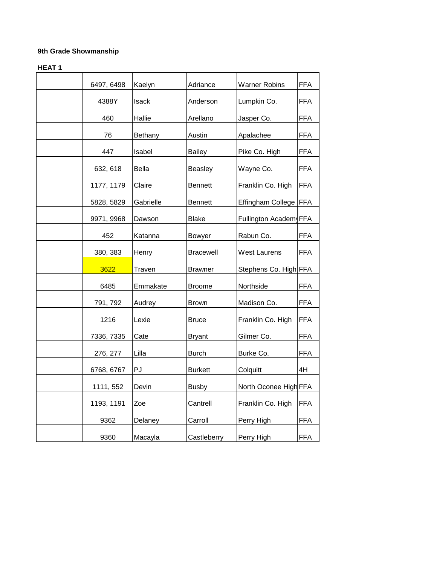| 6497, 6498 | Kaelyn                                                                                                                                                   | Adriance                                                                                                                                               | <b>Warner Robins</b>                                                                                                                                                                                                                | <b>FFA</b>                                                                                                                                                                                                                                                       |
|------------|----------------------------------------------------------------------------------------------------------------------------------------------------------|--------------------------------------------------------------------------------------------------------------------------------------------------------|-------------------------------------------------------------------------------------------------------------------------------------------------------------------------------------------------------------------------------------|------------------------------------------------------------------------------------------------------------------------------------------------------------------------------------------------------------------------------------------------------------------|
| 4388Y      | Isack                                                                                                                                                    | Anderson                                                                                                                                               | Lumpkin Co.                                                                                                                                                                                                                         | <b>FFA</b>                                                                                                                                                                                                                                                       |
| 460        | Hallie                                                                                                                                                   | Arellano                                                                                                                                               | Jasper Co.                                                                                                                                                                                                                          | <b>FFA</b>                                                                                                                                                                                                                                                       |
| 76         |                                                                                                                                                          |                                                                                                                                                        |                                                                                                                                                                                                                                     | <b>FFA</b>                                                                                                                                                                                                                                                       |
|            |                                                                                                                                                          |                                                                                                                                                        |                                                                                                                                                                                                                                     | <b>FFA</b>                                                                                                                                                                                                                                                       |
|            |                                                                                                                                                          |                                                                                                                                                        |                                                                                                                                                                                                                                     | FFA                                                                                                                                                                                                                                                              |
|            |                                                                                                                                                          |                                                                                                                                                        |                                                                                                                                                                                                                                     | <b>FFA</b>                                                                                                                                                                                                                                                       |
|            |                                                                                                                                                          |                                                                                                                                                        |                                                                                                                                                                                                                                     | FFA                                                                                                                                                                                                                                                              |
|            |                                                                                                                                                          |                                                                                                                                                        |                                                                                                                                                                                                                                     |                                                                                                                                                                                                                                                                  |
|            |                                                                                                                                                          |                                                                                                                                                        |                                                                                                                                                                                                                                     | <b>FFA</b>                                                                                                                                                                                                                                                       |
|            |                                                                                                                                                          |                                                                                                                                                        |                                                                                                                                                                                                                                     | <b>FFA</b>                                                                                                                                                                                                                                                       |
|            |                                                                                                                                                          |                                                                                                                                                        |                                                                                                                                                                                                                                     |                                                                                                                                                                                                                                                                  |
|            |                                                                                                                                                          |                                                                                                                                                        |                                                                                                                                                                                                                                     | <b>FFA</b>                                                                                                                                                                                                                                                       |
|            |                                                                                                                                                          |                                                                                                                                                        |                                                                                                                                                                                                                                     | <b>FFA</b>                                                                                                                                                                                                                                                       |
|            |                                                                                                                                                          |                                                                                                                                                        |                                                                                                                                                                                                                                     | <b>FFA</b>                                                                                                                                                                                                                                                       |
|            |                                                                                                                                                          |                                                                                                                                                        |                                                                                                                                                                                                                                     | <b>FFA</b>                                                                                                                                                                                                                                                       |
|            |                                                                                                                                                          |                                                                                                                                                        |                                                                                                                                                                                                                                     | <b>FFA</b>                                                                                                                                                                                                                                                       |
|            |                                                                                                                                                          |                                                                                                                                                        |                                                                                                                                                                                                                                     | 4H                                                                                                                                                                                                                                                               |
|            |                                                                                                                                                          |                                                                                                                                                        |                                                                                                                                                                                                                                     |                                                                                                                                                                                                                                                                  |
| 1111, 552  | Devin                                                                                                                                                    | <b>Busby</b>                                                                                                                                           | North Oconee High FFA                                                                                                                                                                                                               |                                                                                                                                                                                                                                                                  |
| 1193, 1191 | Zoe                                                                                                                                                      | Cantrell                                                                                                                                               | Franklin Co. High                                                                                                                                                                                                                   | <b>FFA</b>                                                                                                                                                                                                                                                       |
| 9362       | Delaney                                                                                                                                                  | Carroll                                                                                                                                                | Perry High                                                                                                                                                                                                                          | <b>FFA</b>                                                                                                                                                                                                                                                       |
| 9360       | Macayla                                                                                                                                                  | Castleberry                                                                                                                                            | Perry High                                                                                                                                                                                                                          | FFA                                                                                                                                                                                                                                                              |
|            | 447<br>632, 618<br>1177, 1179<br>5828, 5829<br>9971, 9968<br>452<br>380, 383<br>3622<br>6485<br>791, 792<br>1216<br>7336, 7335<br>276, 277<br>6768, 6767 | Bethany<br>Isabel<br><b>Bella</b><br>Claire<br>Gabrielle<br>Dawson<br>Katanna<br>Henry<br>Traven<br>Emmakate<br>Audrey<br>Lexie<br>Cate<br>Lilla<br>PJ | Austin<br><b>Bailey</b><br>Beasley<br><b>Bennett</b><br><b>Bennett</b><br><b>Blake</b><br>Bowyer<br>Bracewell<br><b>Brawner</b><br><b>Broome</b><br><b>Brown</b><br><b>Bruce</b><br><b>Bryant</b><br><b>Burch</b><br><b>Burkett</b> | Apalachee<br>Pike Co. High<br>Wayne Co.<br>Franklin Co. High<br>Effingham College<br>Fullington Academy FFA<br>Rabun Co.<br><b>West Laurens</b><br>Stephens Co. High FFA<br>Northside<br>Madison Co.<br>Franklin Co. High<br>Gilmer Co.<br>Burke Co.<br>Colquitt |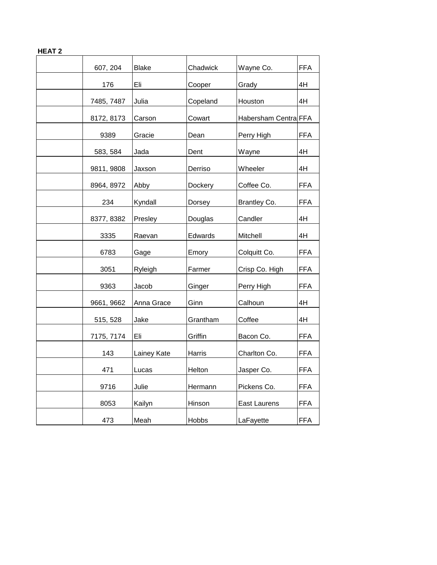|--|--|--|--|--|

| 607, 204   | <b>Blake</b> | Chadwick     | Wayne Co.            | <b>FFA</b> |
|------------|--------------|--------------|----------------------|------------|
| 176        | Eli          | Cooper       | Grady                | 4H         |
| 7485, 7487 | Julia        | Copeland     | Houston              | 4H         |
| 8172, 8173 | Carson       | Cowart       | Habersham Centra FFA |            |
| 9389       | Gracie       | Dean         | Perry High           | <b>FFA</b> |
| 583, 584   | Jada         | Dent         | Wayne                | 4H         |
| 9811, 9808 | Jaxson       | Derriso      | Wheeler              | 4H         |
| 8964, 8972 | Abby         | Dockery      | Coffee Co.           | <b>FFA</b> |
| 234        | Kyndall      | Dorsey       | Brantley Co.         | <b>FFA</b> |
| 8377, 8382 | Presley      | Douglas      | Candler              | 4H         |
| 3335       | Raevan       | Edwards      | Mitchell             | 4H         |
| 6783       | Gage         | Emory        | Colquitt Co.         | <b>FFA</b> |
| 3051       | Ryleigh      | Farmer       | Crisp Co. High       | <b>FFA</b> |
| 9363       | Jacob        | Ginger       | Perry High           | <b>FFA</b> |
| 9661, 9662 | Anna Grace   | Ginn         | Calhoun              | 4H         |
| 515, 528   | Jake         | Grantham     | Coffee               | 4H         |
| 7175, 7174 | Eli          | Griffin      | Bacon Co.            | <b>FFA</b> |
| 143        | Lainey Kate  | Harris       | Charlton Co.         | <b>FFA</b> |
| 471        | Lucas        | Helton       | Jasper Co.           | <b>FFA</b> |
| 9716       | Julie        | Hermann      | Pickens Co.          | <b>FFA</b> |
| 8053       | Kailyn       | Hinson       | East Laurens         | <b>FFA</b> |
| 473        | Meah         | <b>Hobbs</b> | LaFayette            | <b>FFA</b> |
|            |              |              |                      |            |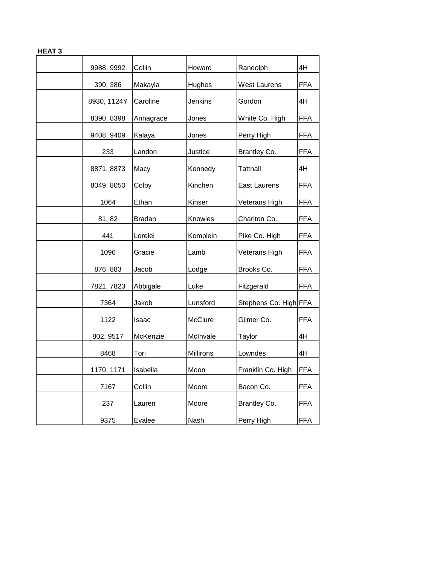| 9988, 9992  | Collin        | Howard    | Randolph              | 4H         |
|-------------|---------------|-----------|-----------------------|------------|
| 390, 386    | Makayla       | Hughes    | <b>West Laurens</b>   | <b>FFA</b> |
| 8930, 1124Y | Caroline      | Jenkins   | Gordon                | 4H         |
| 8390, 8398  | Annagrace     | Jones     | White Co. High        | <b>FFA</b> |
| 9408, 9409  | Kalaya        | Jones     | Perry High            | <b>FFA</b> |
| 233         | Landon        | Justice   | Brantley Co.          | <b>FFA</b> |
| 8871, 8873  | Macy          | Kennedy   | Tattnall              | 4H         |
| 8049, 8050  | Colby         | Kinchen   | East Laurens          | <b>FFA</b> |
| 1064        | Ethan         | Kinser    | Veterans High         | <b>FFA</b> |
|             |               |           |                       |            |
| 81, 82      | <b>Bradan</b> | Knowles   | Charlton Co.          | <b>FFA</b> |
| 441         | Lorelei       | Komplein  | Pike Co. High         | <b>FFA</b> |
| 1096        | Gracie        | Lamb      | Veterans High         | <b>FFA</b> |
| 876, 883    | Jacob         | Lodge     | Brooks Co.            | <b>FFA</b> |
| 7821, 7823  | Abbigale      | Luke      | Fitzgerald            | <b>FFA</b> |
| 7364        | Jakob         | Lunsford  | Stephens Co. High FFA |            |
| 1122        | Isaac         | McClure   | Gilmer Co.            | <b>FFA</b> |
| 802, 9517   | McKenzie      | McInvale  | Taylor                | 4H         |
| 8468        | Tori          | Millirons | Lowndes               | 4H         |
| 1170, 1171  | Isabella      | Moon      | Franklin Co. High     | <b>FFA</b> |
| 7167        | Collin        | Moore     | Bacon Co.             | <b>FFA</b> |
| 237         | Lauren        | Moore     | Brantley Co.          | <b>FFA</b> |
| 9375        | Evalee        | Nash      | Perry High            | <b>FFA</b> |
|             |               |           |                       |            |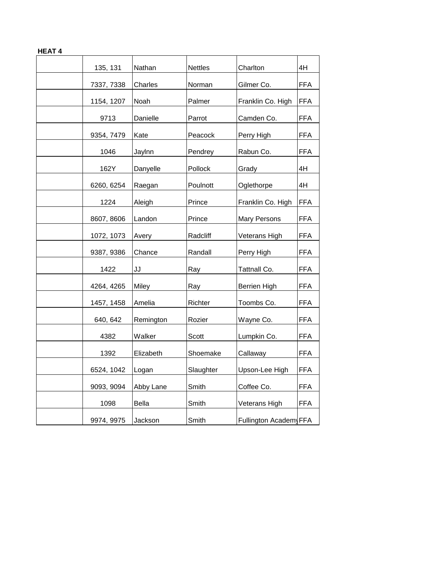|--|--|

| 135, 131   | Nathan       | <b>Nettles</b> | Charlton               | 4H         |
|------------|--------------|----------------|------------------------|------------|
| 7337, 7338 | Charles      | Norman         | Gilmer Co.             | <b>FFA</b> |
| 1154, 1207 | Noah         | Palmer         | Franklin Co. High      | <b>FFA</b> |
| 9713       | Danielle     | Parrot         | Camden Co.             | <b>FFA</b> |
| 9354, 7479 | Kate         | Peacock        | Perry High             | <b>FFA</b> |
| 1046       | Jaylnn       | Pendrey        | Rabun Co.              | <b>FFA</b> |
| 162Y       | Danyelle     | Pollock        | Grady                  | 4H         |
| 6260, 6254 | Raegan       | Poulnott       | Oglethorpe             | 4H         |
| 1224       | Aleigh       | Prince         | Franklin Co. High      | <b>FFA</b> |
| 8607, 8606 | Landon       | Prince         | Mary Persons           | <b>FFA</b> |
| 1072, 1073 | Avery        | Radcliff       | Veterans High          | <b>FFA</b> |
| 9387, 9386 | Chance       | Randall        | Perry High             | <b>FFA</b> |
| 1422       | JJ           | Ray            | Tattnall Co.           | <b>FFA</b> |
| 4264, 4265 | Miley        | Ray            | <b>Berrien High</b>    | <b>FFA</b> |
| 1457, 1458 | Amelia       | Richter        | Toombs Co.             | <b>FFA</b> |
| 640, 642   | Remington    | Rozier         | Wayne Co.              | <b>FFA</b> |
| 4382       | Walker       | Scott          | Lumpkin Co.            | <b>FFA</b> |
| 1392       | Elizabeth    | Shoemake       | Callaway               | <b>FFA</b> |
|            |              |                |                        |            |
| 6524, 1042 | Logan        | Slaughter      | Upson-Lee High         | <b>FFA</b> |
| 9093, 9094 | Abby Lane    | Smith          | Coffee Co.             | <b>FFA</b> |
| 1098       | <b>Bella</b> | Smith          | Veterans High          | <b>FFA</b> |
| 9974, 9975 | Jackson      | Smith          | Fullington Academy FFA |            |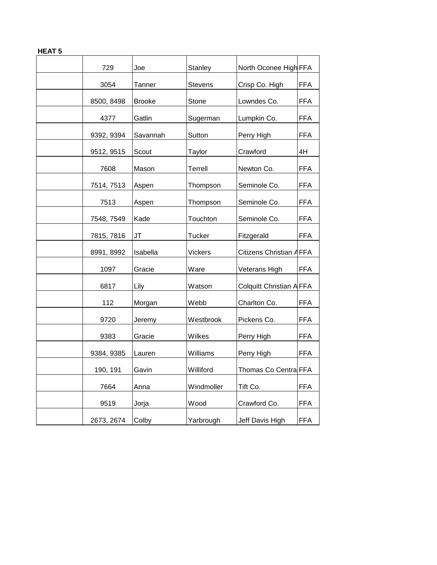| 729        | Joe           | Stanley        | North Oconee High FFA          |            |
|------------|---------------|----------------|--------------------------------|------------|
| 3054       | Tanner        | <b>Stevens</b> | Crisp Co. High                 | <b>FFA</b> |
| 8500, 8498 | <b>Brooke</b> | Stone          | Lowndes Co.                    | <b>FFA</b> |
| 4377       | Gatlin        | Sugerman       | Lumpkin Co.                    | <b>FFA</b> |
| 9392, 9394 | Savannah      | Sutton         | Perry High                     | <b>FFA</b> |
| 9512, 9515 | Scout         | Taylor         | Crawford                       | 4H         |
| 7608       | Mason         | Terrell        | Newton Co.                     | <b>FFA</b> |
| 7514, 7513 | Aspen         | Thompson       | Seminole Co.                   | <b>FFA</b> |
| 7513       | Aspen         | Thompson       | Seminole Co.                   | <b>FFA</b> |
| 7548, 7549 | Kade          | Touchton       | Seminole Co.                   | <b>FFA</b> |
| 7815, 7816 | <b>JT</b>     | <b>Tucker</b>  | Fitzgerald                     | <b>FFA</b> |
| 8991, 8992 | Isabella      | Vickers        | Citizens Christian AFFA        |            |
| 1097       | Gracie        | Ware           | Veterans High                  | <b>FFA</b> |
| 6817       | Lily          | Watson         | <b>Colquitt Christian AFFA</b> |            |
| 112        | Morgan        | Webb           | Charlton Co.                   | <b>FFA</b> |
| 9720       | Jeremy        | Westbrook      | Pickens Co.                    | <b>FFA</b> |
| 9383       | Gracie        | Wilkes         | Perry High                     | <b>FFA</b> |
| 9384, 9385 | Lauren        | Williams       | Perry High                     | <b>FFA</b> |
| 190, 191   | Gavin         | Williford      | Thomas Co Centra FFA           |            |
| 7664       | Anna          | Windmoller     | Tift Co.                       | <b>FFA</b> |
| 9519       | Jorja         | Wood           | Crawford Co.                   | <b>FFA</b> |
| 2673, 2674 | Colby         | Yarbrough      | Jeff Davis High                | <b>FFA</b> |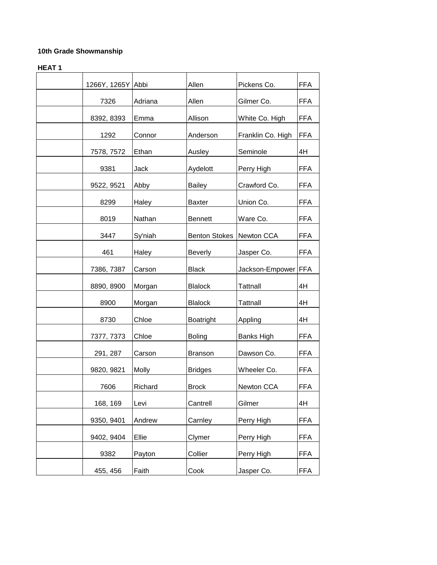| 1266Y, 1265Y Abbi |         | Allen                | Pickens Co.         | <b>FFA</b> |
|-------------------|---------|----------------------|---------------------|------------|
| 7326              | Adriana | Allen                | Gilmer Co.          | <b>FFA</b> |
| 8392, 8393        | Emma    | Allison              | White Co. High      | <b>FFA</b> |
| 1292              | Connor  | Anderson             | Franklin Co. High   | <b>FFA</b> |
| 7578, 7572        | Ethan   | Ausley               | Seminole            | 4H         |
| 9381              | Jack    | Aydelott             | Perry High          | <b>FFA</b> |
| 9522, 9521        | Abby    | <b>Bailey</b>        | Crawford Co.        | <b>FFA</b> |
| 8299              | Haley   | <b>Baxter</b>        | Union Co.           | <b>FFA</b> |
| 8019              | Nathan  | <b>Bennett</b>       | Ware Co.            | <b>FFA</b> |
| 3447              | Sy'niah | <b>Benton Stokes</b> | Newton CCA          | <b>FFA</b> |
| 461               | Haley   | Beverly              | Jasper Co.          | <b>FFA</b> |
| 7386, 7387        | Carson  | <b>Black</b>         | Jackson-Empower FFA |            |
| 8890, 8900        | Morgan  | <b>Blalock</b>       | <b>Tattnall</b>     | 4H         |
| 8900              | Morgan  | <b>Blalock</b>       | Tattnall            | 4H         |
| 8730              | Chloe   | Boatright            | Appling             | 4H         |
| 7377, 7373        | Chloe   | <b>Boling</b>        | Banks High          | <b>FFA</b> |
| 291, 287          | Carson  | Branson              | Dawson Co.          | <b>FFA</b> |
| 9820, 9821        | Molly   | <b>Bridges</b>       | Wheeler Co.         | <b>FFA</b> |
| 7606              | Richard | <b>Brock</b>         | Newton CCA          | <b>FFA</b> |
| 168, 169          | Levi    | Cantrell             | Gilmer              | 4H         |
| 9350, 9401        | Andrew  | Carnley              | Perry High          | <b>FFA</b> |
| 9402, 9404        | Ellie   | Clymer               | Perry High          | <b>FFA</b> |
| 9382              | Payton  | Collier              | Perry High          | <b>FFA</b> |
| 455, 456          | Faith   | Cook                 | Jasper Co.          | <b>FFA</b> |
|                   |         |                      |                     |            |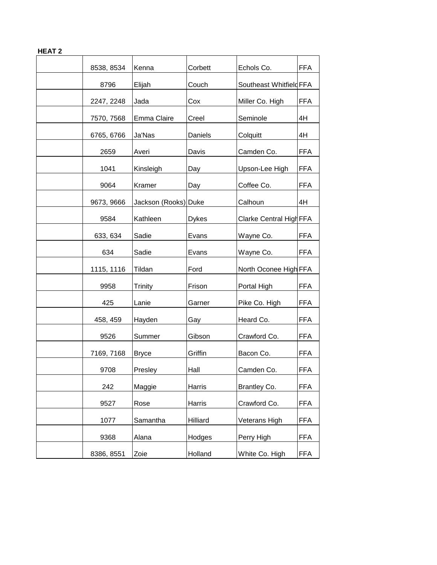| 8538, 8534 | Kenna                | Corbett      | Echols Co.              | <b>FFA</b> |
|------------|----------------------|--------------|-------------------------|------------|
| 8796       | Elijah               | Couch        | Southeast Whitfield FFA |            |
| 2247, 2248 | Jada                 | Cox          | Miller Co. High         | <b>FFA</b> |
| 7570, 7568 | Emma Claire          | Creel        | Seminole                | 4H         |
| 6765, 6766 | Ja'Nas               | Daniels      | Colquitt                | 4H         |
| 2659       | Averi                | Davis        | Camden Co.              | <b>FFA</b> |
| 1041       | Kinsleigh            | Day          | Upson-Lee High          | <b>FFA</b> |
| 9064       | Kramer               | Day          | Coffee Co.              | <b>FFA</b> |
| 9673, 9666 | Jackson (Rooks) Duke |              | Calhoun                 | 4H         |
| 9584       | Kathleen             | <b>Dykes</b> | Clarke Central High FFA |            |
| 633, 634   | Sadie                | Evans        | Wayne Co.               | <b>FFA</b> |
| 634        | Sadie                | Evans        | Wayne Co.               | <b>FFA</b> |
| 1115, 1116 | Tildan               | Ford         | North Oconee High FFA   |            |
| 9958       | <b>Trinity</b>       | Frison       | Portal High             | FFA        |
| 425        | Lanie                | Garner       | Pike Co. High           | FFA        |
| 458, 459   | Hayden               | Gay          | Heard Co.               | <b>FFA</b> |
| 9526       | Summer               | Gibson       | Crawford Co.            | FFA        |
| 7169, 7168 | <b>Bryce</b>         | Griffin      | Bacon Co.               | <b>FFA</b> |
| 9708       | Presley              | Hall         | Camden Co.              | <b>FFA</b> |
| 242        | Maggie               | Harris       | Brantley Co.            | <b>FFA</b> |
| 9527       | Rose                 | Harris       | Crawford Co.            | <b>FFA</b> |
| 1077       | Samantha             | Hilliard     | Veterans High           | <b>FFA</b> |
| 9368       | Alana                | Hodges       | Perry High              | <b>FFA</b> |
| 8386, 8551 | Zoie                 | Holland      | White Co. High          | <b>FFA</b> |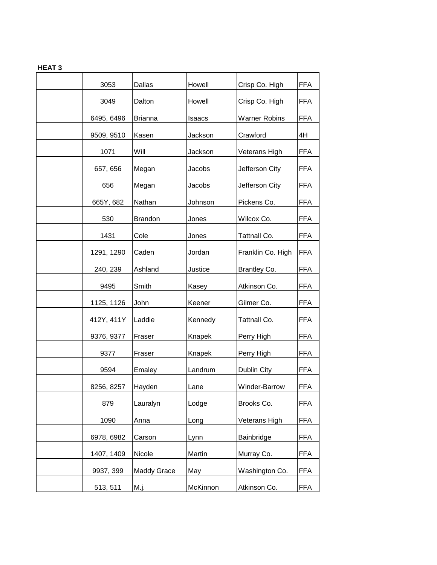| 3053       | Dallas             | Howell   | Crisp Co. High       | <b>FFA</b> |
|------------|--------------------|----------|----------------------|------------|
| 3049       | Dalton             | Howell   | Crisp Co. High       | <b>FFA</b> |
| 6495, 6496 | <b>Brianna</b>     | Isaacs   | <b>Warner Robins</b> | <b>FFA</b> |
| 9509, 9510 | Kasen              | Jackson  | Crawford             | 4H         |
| 1071       | Will               | Jackson  | Veterans High        | <b>FFA</b> |
| 657, 656   | Megan              | Jacobs   | Jefferson City       | <b>FFA</b> |
| 656        | Megan              | Jacobs   | Jefferson City       | <b>FFA</b> |
| 665Y, 682  | Nathan             | Johnson  | Pickens Co.          | <b>FFA</b> |
| 530        | <b>Brandon</b>     | Jones    | Wilcox Co.           | <b>FFA</b> |
| 1431       | Cole               | Jones    | Tattnall Co.         | <b>FFA</b> |
| 1291, 1290 | Caden              | Jordan   | Franklin Co. High    | <b>FFA</b> |
| 240, 239   | Ashland            | Justice  | Brantley Co.         | <b>FFA</b> |
| 9495       | Smith              | Kasey    | Atkinson Co.         | <b>FFA</b> |
| 1125, 1126 | John               | Keener   | Gilmer Co.           | <b>FFA</b> |
| 412Y, 411Y | Laddie             | Kennedy  | Tattnall Co.         | <b>FFA</b> |
| 9376, 9377 | Fraser             | Knapek   | Perry High           | <b>FFA</b> |
| 9377       | Fraser             | Knapek   | Perry High           | <b>FFA</b> |
| 9594       | Emaley             | Landrum  | Dublin City          | <b>FFA</b> |
| 8256, 8257 | Hayden             | Lane     | Winder-Barrow        | <b>FFA</b> |
| 879        | Lauralyn           | Lodge    | Brooks Co.           | FFA        |
| 1090       | Anna               | Long     | Veterans High        | <b>FFA</b> |
| 6978, 6982 | Carson             | Lynn     | Bainbridge           | <b>FFA</b> |
| 1407, 1409 | Nicole             | Martin   | Murray Co.           | <b>FFA</b> |
| 9937, 399  | <b>Maddy Grace</b> | May      | Washington Co.       | <b>FFA</b> |
| 513, 511   | M.j.               | McKinnon | Atkinson Co.         | <b>FFA</b> |
|            |                    |          |                      |            |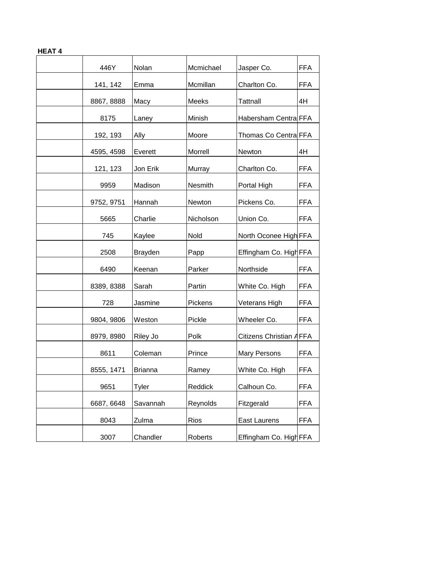| 446Y       | Nolan          | Mcmichael | Jasper Co.              | <b>FFA</b> |
|------------|----------------|-----------|-------------------------|------------|
| 141, 142   | Emma           | Mcmillan  | Charlton Co.            | <b>FFA</b> |
| 8867, 8888 | Macy           | Meeks     | <b>Tattnall</b>         | 4H         |
| 8175       | Laney          | Minish    | Habersham Central FFA   |            |
| 192, 193   | Ally           | Moore     | Thomas Co Centra FFA    |            |
| 4595, 4598 | Everett        | Morrell   | Newton                  | 4H         |
| 121, 123   | Jon Erik       | Murray    | Charlton Co.            | <b>FFA</b> |
| 9959       | Madison        | Nesmith   | Portal High             | <b>FFA</b> |
| 9752, 9751 | Hannah         | Newton    | Pickens Co.             | <b>FFA</b> |
| 5665       | Charlie        | Nicholson | Union Co.               | <b>FFA</b> |
| 745        | Kaylee         | Nold      | North Oconee High FFA   |            |
| 2508       | <b>Brayden</b> | Papp      | Effingham Co. High FFA  |            |
| 6490       | Keenan         | Parker    | Northside               | <b>FFA</b> |
| 8389, 8388 | Sarah          | Partin    | White Co. High          | <b>FFA</b> |
| 728        | Jasmine        | Pickens   | Veterans High           | <b>FFA</b> |
| 9804, 9806 | Weston         | Pickle    | Wheeler Co.             | <b>FFA</b> |
| 8979, 8980 | Riley Jo       | Polk      | Citizens Christian AFFA |            |
| 8611       | Coleman        | Prince    |                         | FFA        |
|            |                | Ramey     | <b>Mary Persons</b>     | <b>FFA</b> |
| 8555, 1471 | <b>Brianna</b> |           | White Co. High          |            |
| 9651       | <b>Tyler</b>   | Reddick   | Calhoun Co.             | <b>FFA</b> |
| 6687, 6648 | Savannah       | Reynolds  | Fitzgerald              | <b>FFA</b> |
| 8043       | Zulma          | Rios      | East Laurens            | <b>FFA</b> |
| 3007       | Chandler       | Roberts   | Effingham Co. High FFA  |            |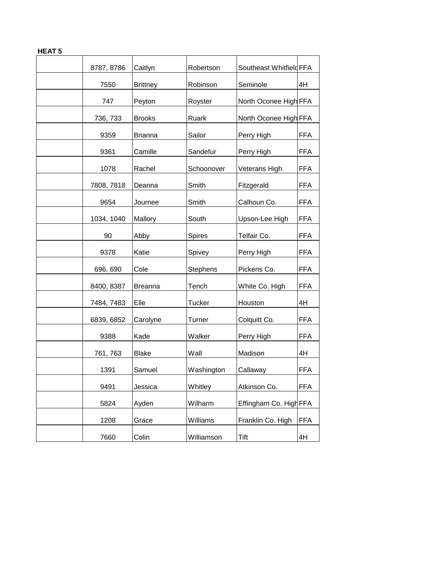| 8787, 8786 | Caitlyn         | Robertson  | Southeast Whitfield FFA |            |
|------------|-----------------|------------|-------------------------|------------|
| 7550       | <b>Brittney</b> | Robinson   | Seminole                | 4H         |
| 747        | Peyton          | Royster    | North Oconee High FFA   |            |
| 736, 733   | <b>Brooks</b>   | Ruark      | North Oconee High FFA   |            |
| 9359       | <b>Brianna</b>  | Sailor     | Perry High              | <b>FFA</b> |
| 9361       | Camille         | Sandefur   | Perry High              | <b>FFA</b> |
| 1078       | Rachel          | Schoonover | Veterans High           | <b>FFA</b> |
| 7808, 7818 | Deanna          | Smith      | Fitzgerald              | <b>FFA</b> |
| 9654       | Journee         | Smith      | Calhoun Co.             | <b>FFA</b> |
| 1034, 1040 | Mallory         | South      | Upson-Lee High          | <b>FFA</b> |
| 90         | Abby            | Spires     | Telfair Co.             | <b>FFA</b> |
| 9378       | Katie           | Spivey     | Perry High              | <b>FFA</b> |
| 696, 690   | Cole            | Stephens   | Pickens Co.             | <b>FFA</b> |
| 8400, 8387 | <b>Breanna</b>  | Tench      | White Co. High          | <b>FFA</b> |
| 7484, 7483 | Elle            | Tucker     | Houston                 | 4H         |
| 6839, 6852 | Carolyne        | Turner     | Colquitt Co.            | <b>FFA</b> |
| 9388       | Kade            | Walker     | Perry High              | <b>FFA</b> |
| 761, 763   | <b>Blake</b>    | Wall       | Madison                 | 4H         |
| 1391       | Samuel          | Washington | Callaway                | <b>FFA</b> |
| 9491       | Jessica         | Whitley    | Atkinson Co.            | <b>FFA</b> |
| 5824       | Ayden           | Wilharm    | Effingham Co. High FFA  |            |
| 1208       | Grace           | Williams   | Franklin Co. High       | <b>FFA</b> |
| 7660       | Colin           | Williamson | Tift                    | 4H         |
|            |                 |            |                         |            |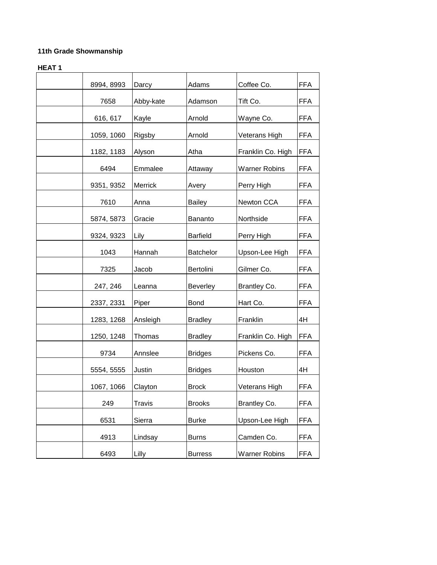| 8994, 8993 | Darcy                                                                                                                              | Adams                                                                                                  | Coffee Co.                                                                                                                                     | <b>FFA</b>                                                                                                                                                                                |
|------------|------------------------------------------------------------------------------------------------------------------------------------|--------------------------------------------------------------------------------------------------------|------------------------------------------------------------------------------------------------------------------------------------------------|-------------------------------------------------------------------------------------------------------------------------------------------------------------------------------------------|
| 7658       | Abby-kate                                                                                                                          | Adamson                                                                                                | Tift Co.                                                                                                                                       | <b>FFA</b>                                                                                                                                                                                |
| 616, 617   | Kayle                                                                                                                              | Arnold                                                                                                 | Wayne Co.                                                                                                                                      | <b>FFA</b>                                                                                                                                                                                |
|            |                                                                                                                                    | Arnold                                                                                                 |                                                                                                                                                | <b>FFA</b>                                                                                                                                                                                |
|            |                                                                                                                                    |                                                                                                        |                                                                                                                                                | <b>FFA</b>                                                                                                                                                                                |
| 6494       |                                                                                                                                    |                                                                                                        |                                                                                                                                                | <b>FFA</b>                                                                                                                                                                                |
|            |                                                                                                                                    |                                                                                                        |                                                                                                                                                | <b>FFA</b>                                                                                                                                                                                |
|            |                                                                                                                                    |                                                                                                        |                                                                                                                                                | <b>FFA</b>                                                                                                                                                                                |
|            |                                                                                                                                    |                                                                                                        |                                                                                                                                                | <b>FFA</b>                                                                                                                                                                                |
|            |                                                                                                                                    |                                                                                                        |                                                                                                                                                | <b>FFA</b>                                                                                                                                                                                |
|            |                                                                                                                                    |                                                                                                        |                                                                                                                                                | <b>FFA</b>                                                                                                                                                                                |
|            |                                                                                                                                    |                                                                                                        |                                                                                                                                                | <b>FFA</b>                                                                                                                                                                                |
|            |                                                                                                                                    |                                                                                                        |                                                                                                                                                | <b>FFA</b>                                                                                                                                                                                |
|            |                                                                                                                                    |                                                                                                        |                                                                                                                                                |                                                                                                                                                                                           |
|            |                                                                                                                                    |                                                                                                        |                                                                                                                                                | <b>FFA</b>                                                                                                                                                                                |
|            | Ansleigh                                                                                                                           |                                                                                                        |                                                                                                                                                | 4H                                                                                                                                                                                        |
| 1250, 1248 | Thomas                                                                                                                             | <b>Bradley</b>                                                                                         | Franklin Co. High                                                                                                                              | <b>FFA</b>                                                                                                                                                                                |
| 9734       | Annslee                                                                                                                            | <b>Bridges</b>                                                                                         | Pickens Co.                                                                                                                                    | <b>FFA</b>                                                                                                                                                                                |
| 5554, 5555 | Justin                                                                                                                             | <b>Bridges</b>                                                                                         | Houston                                                                                                                                        | 4H                                                                                                                                                                                        |
| 1067, 1066 | Clayton                                                                                                                            | <b>Brock</b>                                                                                           | Veterans High                                                                                                                                  | <b>FFA</b>                                                                                                                                                                                |
| 249        | Travis                                                                                                                             | <b>Brooks</b>                                                                                          | Brantley Co.                                                                                                                                   | <b>FFA</b>                                                                                                                                                                                |
| 6531       | Sierra                                                                                                                             | <b>Burke</b>                                                                                           | Upson-Lee High                                                                                                                                 | <b>FFA</b>                                                                                                                                                                                |
| 4913       | Lindsay                                                                                                                            | <b>Burns</b>                                                                                           | Camden Co.                                                                                                                                     | <b>FFA</b>                                                                                                                                                                                |
| 6493       | Lilly                                                                                                                              | <b>Burress</b>                                                                                         | <b>Warner Robins</b>                                                                                                                           | <b>FFA</b>                                                                                                                                                                                |
|            | 1059, 1060<br>1182, 1183<br>9351, 9352<br>7610<br>5874, 5873<br>9324, 9323<br>1043<br>7325<br>247, 246<br>2337, 2331<br>1283, 1268 | Rigsby<br>Alyson<br>Emmalee<br>Merrick<br>Anna<br>Gracie<br>Lily<br>Hannah<br>Jacob<br>Leanna<br>Piper | Atha<br>Attaway<br>Avery<br><b>Bailey</b><br>Bananto<br><b>Barfield</b><br>Batchelor<br>Bertolini<br>Beverley<br><b>Bond</b><br><b>Bradley</b> | Veterans High<br>Franklin Co. High<br><b>Warner Robins</b><br>Perry High<br>Newton CCA<br>Northside<br>Perry High<br>Upson-Lee High<br>Gilmer Co.<br>Brantley Co.<br>Hart Co.<br>Franklin |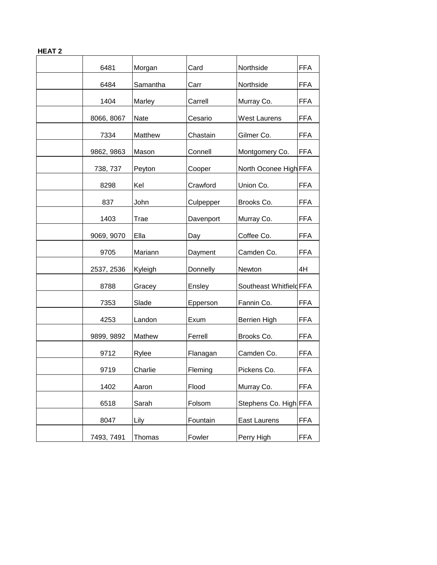| 6481       | Morgan   | Card      | Northside               | <b>FFA</b> |
|------------|----------|-----------|-------------------------|------------|
| 6484       | Samantha | Carr      | Northside               | <b>FFA</b> |
| 1404       | Marley   | Carrell   | Murray Co.              | <b>FFA</b> |
| 8066, 8067 | Nate     | Cesario   | <b>West Laurens</b>     | <b>FFA</b> |
| 7334       | Matthew  | Chastain  | Gilmer Co.              | <b>FFA</b> |
| 9862, 9863 | Mason    | Connell   | Montgomery Co.          | <b>FFA</b> |
| 738, 737   | Peyton   | Cooper    | North Oconee High FFA   |            |
| 8298       | Kel      | Crawford  | Union Co.               | <b>FFA</b> |
| 837        | John     | Culpepper | Brooks Co.              | <b>FFA</b> |
| 1403       | Trae     | Davenport | Murray Co.              | <b>FFA</b> |
| 9069, 9070 | Ella     | Day       | Coffee Co.              | <b>FFA</b> |
| 9705       | Mariann  | Dayment   | Camden Co.              | <b>FFA</b> |
| 2537, 2536 | Kyleigh  | Donnelly  | Newton                  | 4H         |
| 8788       | Gracey   | Ensley    | Southeast Whitfield FFA |            |
| 7353       | Slade    | Epperson  | Fannin Co.              | <b>FFA</b> |
| 4253       | Landon   | Exum      | <b>Berrien High</b>     | <b>FFA</b> |
| 9899, 9892 | Mathew   | Ferrell   | Brooks Co.              | <b>FFA</b> |
| 9712       | Rylee    | Flanagan  | Camden Co.              | <b>FFA</b> |
| 9719       | Charlie  | Fleming   | Pickens Co.             | <b>FFA</b> |
| 1402       | Aaron    | Flood     | Murray Co.              | <b>FFA</b> |
| 6518       | Sarah    | Folsom    | Stephens Co. High FFA   |            |
| 8047       | Lily     | Fountain  | East Laurens            | <b>FFA</b> |
| 7493, 7491 | Thomas   | Fowler    | Perry High              | <b>FFA</b> |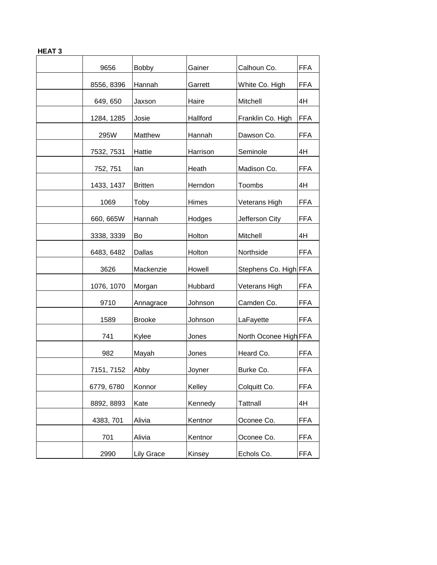| 9656       | <b>Bobby</b>   | Gainer   | Calhoun Co.           | <b>FFA</b> |
|------------|----------------|----------|-----------------------|------------|
| 8556, 8396 | Hannah         | Garrett  | White Co. High        | <b>FFA</b> |
| 649, 650   | Jaxson         | Haire    | Mitchell              | 4H         |
| 1284, 1285 | Josie          | Hallford | Franklin Co. High     | <b>FFA</b> |
| 295W       | Matthew        | Hannah   | Dawson Co.            | <b>FFA</b> |
| 7532, 7531 | Hattie         | Harrison | Seminole              | 4H         |
| 752, 751   | lan            | Heath    | Madison Co.           | <b>FFA</b> |
| 1433, 1437 | <b>Britten</b> | Herndon  | Toombs                | 4H         |
| 1069       | Toby           | Himes    | Veterans High         | <b>FFA</b> |
| 660, 665W  | Hannah         | Hodges   | Jefferson City        | <b>FFA</b> |
| 3338, 3339 | Bo             | Holton   | Mitchell              | 4H         |
| 6483, 6482 | Dallas         | Holton   | Northside             | <b>FFA</b> |
| 3626       | Mackenzie      | Howell   | Stephens Co. High FFA |            |
| 1076, 1070 | Morgan         | Hubbard  | Veterans High         | <b>FFA</b> |
| 9710       | Annagrace      | Johnson  | Camden Co.            | <b>FFA</b> |
| 1589       | <b>Brooke</b>  | Johnson  | LaFayette             | <b>FFA</b> |
| 741        | Kylee          | Jones    | North Oconee High FFA |            |
| 982        | Mayah          | Jones    | Heard Co.             | <b>FFA</b> |
| 7151, 7152 | Abby           | Joyner   | Burke Co.             | <b>FFA</b> |
| 6779, 6780 | Konnor         | Kelley   | Colquitt Co.          | <b>FFA</b> |
| 8892, 8893 | Kate           | Kennedy  | <b>Tattnall</b>       | 4H         |
| 4383, 701  | Alivia         | Kentnor  | Oconee Co.            | <b>FFA</b> |
| 701        | Alivia         | Kentnor  | Oconee Co.            | <b>FFA</b> |
| 2990       | Lily Grace     | Kinsey   | Echols Co.            | <b>FFA</b> |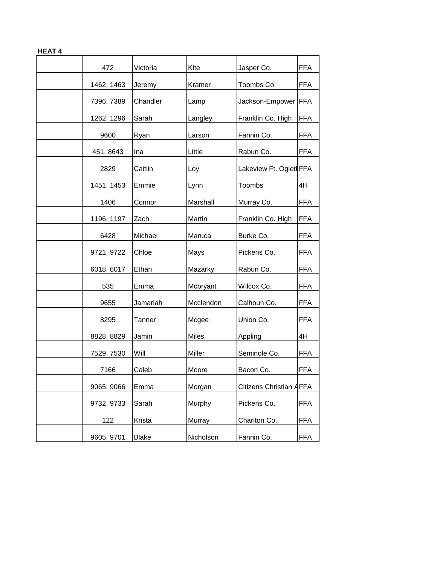| 472        | Victoria     | Kite      | Jasper Co.                     | <b>FFA</b> |
|------------|--------------|-----------|--------------------------------|------------|
| 1462, 1463 | Jeremy       | Kramer    | Toombs Co.                     | <b>FFA</b> |
| 7396, 7389 | Chandler     | Lamp      | Jackson-Empower FFA            |            |
| 1262, 1296 | Sarah        | Langley   | Franklin Co. High              | <b>FFA</b> |
| 9600       | Ryan         | Larson    | Fannin Co.                     | <b>FFA</b> |
| 451, 8643  | Ina          | Little    | Rabun Co.                      | <b>FFA</b> |
| 2829       | Caitlin      | Loy       | Lakeview Ft. Ogleth FFA        |            |
| 1451, 1453 | Emmie        | Lynn      | Toombs                         | 4H         |
| 1406       | Connor       | Marshall  | Murray Co.                     | <b>FFA</b> |
| 1196, 1197 | Zach         | Martin    | Franklin Co. High              | <b>FFA</b> |
| 6428       | Michael      | Maruca    | Burke Co.                      | <b>FFA</b> |
| 9721, 9722 | Chloe        | Mays      | Pickens Co.                    | <b>FFA</b> |
| 6018, 6017 | Ethan        | Mazarky   | Rabun Co.                      | <b>FFA</b> |
| 535        | Emma         | Mcbryant  | Wilcox Co.                     | <b>FFA</b> |
| 9655       | Jamariah     | Mcclendon | Calhoun Co.                    | <b>FFA</b> |
| 8295       | Tanner       | Mcgee     | Union Co.                      | <b>FFA</b> |
| 8828, 8829 | Jamin        | Miles     | Appling                        | 4H         |
| 7529, 7530 | Will         | Miller    | Seminole Co.                   | <b>FFA</b> |
| 7166       | Caleb        | Moore     | Bacon Co.                      | <b>FFA</b> |
| 9065, 9066 | Emma         | Morgan    | <b>Citizens Christian AFFA</b> |            |
| 9732, 9733 | Sarah        | Murphy    | Pickens Co.                    | <b>FFA</b> |
| 122        |              |           | Charlton Co.                   | <b>FFA</b> |
|            | Krista       | Murray    |                                |            |
| 9605, 9701 | <b>Blake</b> | Nicholson | Fannin Co.                     | <b>FFA</b> |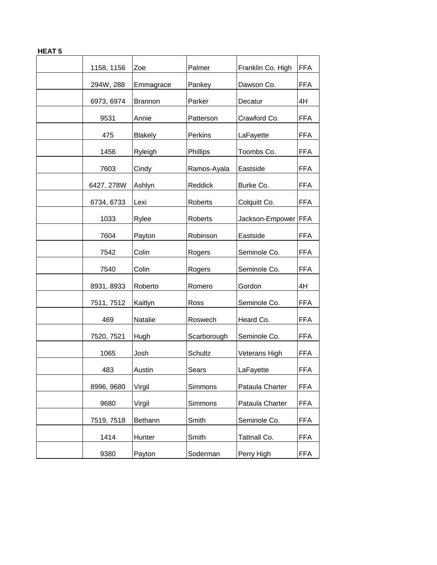| 1158, 1156 | Zoe            | Palmer         | Franklin Co. High | <b>FFA</b> |
|------------|----------------|----------------|-------------------|------------|
| 294W, 288  | Emmagrace      | Pankey         | Dawson Co.        | <b>FFA</b> |
| 6973, 6974 | <b>Brannon</b> | Parker         | Decatur           | 4H         |
| 9531       | Annie          | Patterson      | Crawford Co.      | <b>FFA</b> |
| 475        | <b>Blakely</b> | Perkins        | LaFayette         | <b>FFA</b> |
| 1456       | Ryleigh        | Phillips       | Toombs Co.        | <b>FFA</b> |
| 7603       | Cindy          | Ramos-Ayala    | Eastside          | <b>FFA</b> |
| 6427, 278W | Ashlyn         | Reddick        | Burke Co.         | <b>FFA</b> |
| 6734, 6733 | Lexi           | Roberts        | Colquitt Co.      | <b>FFA</b> |
| 1033       | Rylee          | Roberts        | Jackson-Empower   | <b>FFA</b> |
| 7604       | Payton         | Robinson       | Eastside          | <b>FFA</b> |
| 7542       | Colin          | Rogers         | Seminole Co.      | <b>FFA</b> |
| 7540       | Colin          | Rogers         | Seminole Co.      | <b>FFA</b> |
| 8931, 8933 | Roberto        | Romero         | Gordon            | 4H         |
| 7511, 7512 | Kaitlyn        | Ross           | Seminole Co.      | <b>FFA</b> |
| 469        | Natalie        | Roswech        | Heard Co.         | <b>FFA</b> |
| 7520, 7521 | Hugh           | Scarborough    | Seminole Co.      | <b>FFA</b> |
| 1065       | Josh           | <b>Schultz</b> | Veterans High     | <b>FFA</b> |
| 483        | Austin         | Sears          | LaFayette         | <b>FFA</b> |
| 8996, 9680 | Virgil         | Simmons        | Pataula Charter   | <b>FFA</b> |
| 9680       | Virgil         | Simmons        | Pataula Charter   | <b>FFA</b> |
| 7519, 7518 | Bethann        | Smith          | Seminole Co.      | <b>FFA</b> |
| 1414       | Hunter         | Smith          | Tattnall Co.      | <b>FFA</b> |
| 9380       | Payton         | Soderman       | Perry High        | <b>FFA</b> |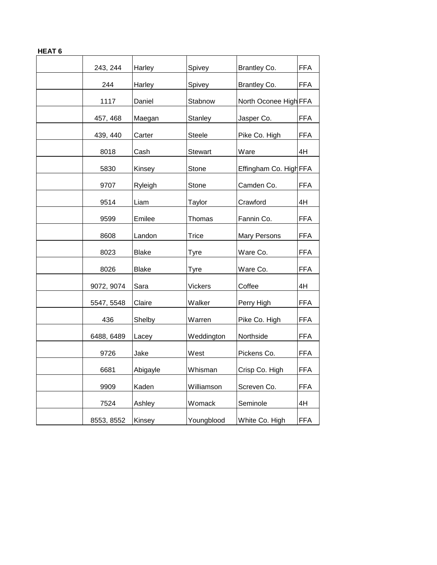| 243, 244   | Harley       | Spivey     | Brantley Co.           | <b>FFA</b> |
|------------|--------------|------------|------------------------|------------|
| 244        | Harley       | Spivey     | Brantley Co.           | <b>FFA</b> |
| 1117       | Daniel       | Stabnow    | North Oconee High FFA  |            |
| 457, 468   | Maegan       | Stanley    | Jasper Co.             | <b>FFA</b> |
| 439, 440   | Carter       | Steele     | Pike Co. High          | <b>FFA</b> |
| 8018       | Cash         | Stewart    | Ware                   | 4H         |
| 5830       | Kinsey       | Stone      | Effingham Co. High FFA |            |
| 9707       | Ryleigh      | Stone      | Camden Co.             | <b>FFA</b> |
| 9514       | Liam         | Taylor     | Crawford               | 4H         |
| 9599       | Emilee       | Thomas     | Fannin Co.             | <b>FFA</b> |
| 8608       | Landon       | Trice      | Mary Persons           | <b>FFA</b> |
| 8023       | <b>Blake</b> | Tyre       | Ware Co.               | <b>FFA</b> |
| 8026       | <b>Blake</b> | Tyre       | Ware Co.               | <b>FFA</b> |
| 9072, 9074 | Sara         | Vickers    | Coffee                 | 4H         |
| 5547, 5548 | Claire       | Walker     | Perry High             | <b>FFA</b> |
| 436        | Shelby       | Warren     | Pike Co. High          | <b>FFA</b> |
| 6488, 6489 | Lacey        | Weddington | Northside              | <b>FFA</b> |
| 9726       | Jake         | West       | Pickens Co.            | <b>FFA</b> |
| 6681       | Abigayle     | Whisman    | Crisp Co. High         | <b>FFA</b> |
| 9909       | Kaden        | Williamson | Screven Co.            | <b>FFA</b> |
| 7524       | Ashley       | Womack     | Seminole               | 4H         |
| 8553, 8552 | Kinsey       | Youngblood | White Co. High         | <b>FFA</b> |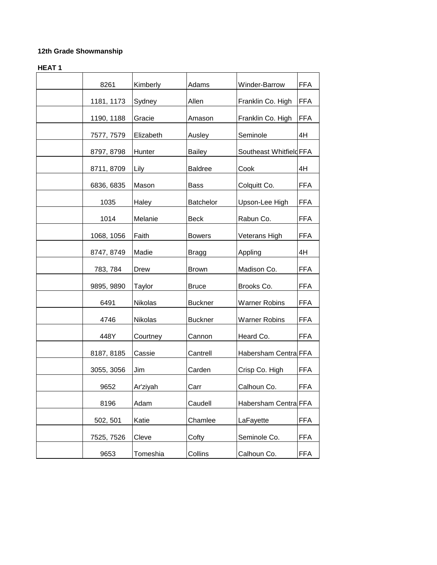| 8261       | Kimberly  | Adams            | Winder-Barrow           | <b>FFA</b> |
|------------|-----------|------------------|-------------------------|------------|
| 1181, 1173 | Sydney    | Allen            | Franklin Co. High       | <b>FFA</b> |
| 1190, 1188 | Gracie    | Amason           | Franklin Co. High       | <b>FFA</b> |
| 7577, 7579 | Elizabeth | Ausley           | Seminole                | 4H         |
| 8797, 8798 | Hunter    | <b>Bailey</b>    | Southeast Whitfield FFA |            |
| 8711, 8709 | Lily      | <b>Baldree</b>   | Cook                    | 4H         |
| 6836, 6835 | Mason     | <b>Bass</b>      | Colquitt Co.            | <b>FFA</b> |
| 1035       | Haley     | <b>Batchelor</b> | Upson-Lee High          | <b>FFA</b> |
| 1014       | Melanie   | <b>Beck</b>      | Rabun Co.               | <b>FFA</b> |
| 1068, 1056 | Faith     | <b>Bowers</b>    | Veterans High           | <b>FFA</b> |
| 8747, 8749 | Madie     | <b>Bragg</b>     | Appling                 | 4H         |
| 783, 784   | Drew      | <b>Brown</b>     | Madison Co.             | <b>FFA</b> |
| 9895, 9890 | Taylor    | <b>Bruce</b>     | Brooks Co.              | <b>FFA</b> |
| 6491       | Nikolas   | <b>Buckner</b>   | <b>Warner Robins</b>    | <b>FFA</b> |
| 4746       | Nikolas   | <b>Buckner</b>   | <b>Warner Robins</b>    | <b>FFA</b> |
| 448Y       | Courtney  | Cannon           | Heard Co.               | <b>FFA</b> |
| 8187, 8185 | Cassie    | Cantrell         | Habersham Central FFA   |            |
| 3055, 3056 | Jim       | Carden           | Crisp Co. High          | <b>FFA</b> |
| 9652       | Ar'ziyah  | Carr             | Calhoun Co.             | <b>FFA</b> |
| 8196       | Adam      | Caudell          | Habersham CentralFFA    |            |
| 502, 501   | Katie     | Chamlee          | LaFayette               | <b>FFA</b> |
| 7525, 7526 | Cleve     | Cofty            | Seminole Co.            | <b>FFA</b> |
| 9653       | Tomeshia  | Collins          | Calhoun Co.             | <b>FFA</b> |
|            |           |                  |                         |            |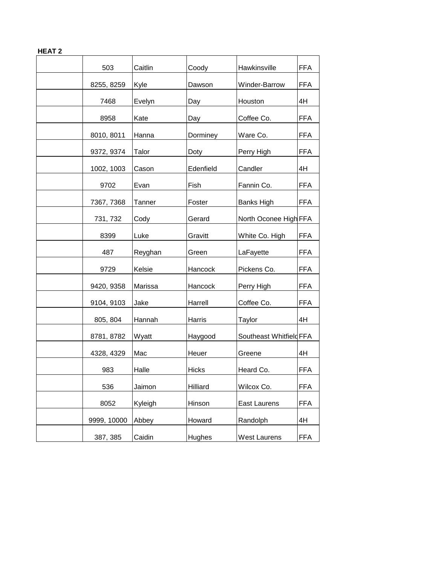| 503<br>Caitlin<br>Hawkinsville<br>Coody<br>Winder-Barrow<br>Kyle<br>8255, 8259<br>Dawson<br>Houston<br>7468<br>Evelyn<br>Day<br>Kate<br>Coffee Co.<br>8958<br>Day<br>8010, 8011<br>Hanna<br>Dorminey<br>Ware Co. | <b>FFA</b><br><b>FFA</b><br>4H<br><b>FFA</b><br><b>FFA</b> |
|------------------------------------------------------------------------------------------------------------------------------------------------------------------------------------------------------------------|------------------------------------------------------------|
|                                                                                                                                                                                                                  |                                                            |
|                                                                                                                                                                                                                  |                                                            |
|                                                                                                                                                                                                                  |                                                            |
|                                                                                                                                                                                                                  |                                                            |
|                                                                                                                                                                                                                  |                                                            |
| Talor<br>9372, 9374<br>Doty<br>Perry High                                                                                                                                                                        | <b>FFA</b>                                                 |
| 1002, 1003<br>Edenfield<br>Candler<br>Cason                                                                                                                                                                      | 4H                                                         |
| 9702<br>Fish<br>Fannin Co.<br>Evan                                                                                                                                                                               | <b>FFA</b>                                                 |
| <b>Banks High</b><br>7367, 7368<br>Tanner<br>Foster                                                                                                                                                              | FFA                                                        |
| Cody<br>Gerard<br>731, 732                                                                                                                                                                                       | North Oconee High FFA                                      |
| White Co. High<br>8399<br>Luke<br>Gravitt                                                                                                                                                                        | <b>FFA</b>                                                 |
| LaFayette<br>487<br>Reyghan<br>Green                                                                                                                                                                             | <b>FFA</b>                                                 |
| Kelsie<br>Hancock<br>Pickens Co.<br>9729                                                                                                                                                                         | <b>FFA</b>                                                 |
| Marissa<br>Hancock                                                                                                                                                                                               | <b>FFA</b>                                                 |
| Perry High<br>9420, 9358                                                                                                                                                                                         |                                                            |
| Harrell<br>Coffee Co.<br>9104, 9103<br>Jake                                                                                                                                                                      | <b>FFA</b>                                                 |
| Hannah<br>Harris<br>Taylor<br>805, 804                                                                                                                                                                           | 4H                                                         |
| Wyatt<br>Haygood<br>8781, 8782                                                                                                                                                                                   | Southeast Whitfield FFA                                    |
| Mac<br>Heuer<br>4328, 4329<br>Greene                                                                                                                                                                             | 4H                                                         |
| 983<br>Halle<br><b>Hicks</b><br>Heard Co.                                                                                                                                                                        | <b>FFA</b>                                                 |
| 536<br>Jaimon<br>Hilliard<br>Wilcox Co.                                                                                                                                                                          | <b>FFA</b>                                                 |
| Hinson<br>8052<br>Kyleigh<br>East Laurens                                                                                                                                                                        | <b>FFA</b>                                                 |
| Howard<br>9999, 10000<br>Abbey<br>Randolph                                                                                                                                                                       | 4H                                                         |
| Hughes<br><b>West Laurens</b><br>387, 385<br>Caidin                                                                                                                                                              | <b>FFA</b>                                                 |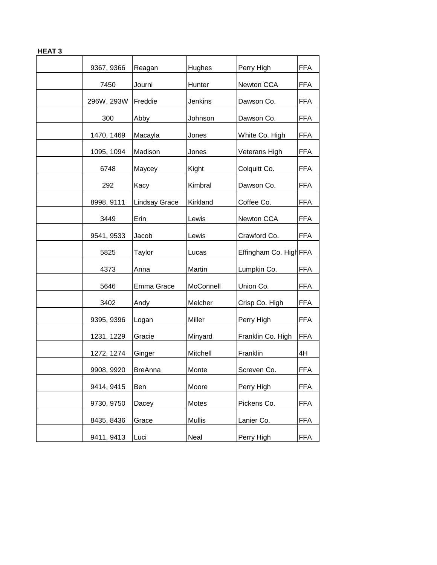| 9367, 9366 | Reagan               | Hughes        | Perry High        | <b>FFA</b>             |
|------------|----------------------|---------------|-------------------|------------------------|
| 7450       | Journi               | Hunter        | Newton CCA        | <b>FFA</b>             |
| 296W, 293W | Freddie              | Jenkins       | Dawson Co.        | <b>FFA</b>             |
| 300        | Abby                 | Johnson       | Dawson Co.        | <b>FFA</b>             |
| 1470, 1469 | Macayla              | Jones         | White Co. High    | <b>FFA</b>             |
| 1095, 1094 | Madison              | Jones         | Veterans High     | <b>FFA</b>             |
| 6748       | Maycey               | Kight         | Colquitt Co.      | <b>FFA</b>             |
| 292        | Kacy                 | Kimbral       | Dawson Co.        | <b>FFA</b>             |
|            | <b>Lindsay Grace</b> | Kirkland      | Coffee Co.        | <b>FFA</b>             |
| 3449       | Erin                 | Lewis         | Newton CCA        | <b>FFA</b>             |
| 9541, 9533 | Jacob                | Lewis         | Crawford Co.      | <b>FFA</b>             |
| 5825       | Taylor               | Lucas         |                   |                        |
| 4373       | Anna                 | Martin        | Lumpkin Co.       | <b>FFA</b>             |
| 5646       | Emma Grace           | McConnell     | Union Co.         | <b>FFA</b>             |
| 3402       | Andy                 | Melcher       | Crisp Co. High    | FFA                    |
| 9395, 9396 | Logan                | Miller        | Perry High        | <b>FFA</b>             |
| 1231, 1229 | Gracie               | Minyard       | Franklin Co. High | <b>FFA</b>             |
| 1272, 1274 | Ginger               | Mitchell      | Franklin          | 4H                     |
| 9908, 9920 | <b>BreAnna</b>       | Monte         | Screven Co.       | <b>FFA</b>             |
| 9414, 9415 | Ben                  | Moore         | Perry High        | <b>FFA</b>             |
| 9730, 9750 | Dacey                | Motes         | Pickens Co.       | <b>FFA</b>             |
| 8435, 8436 | Grace                | <b>Mullis</b> | Lanier Co.        | <b>FFA</b>             |
| 9411, 9413 | Luci                 | Neal          | Perry High        | FFA                    |
|            | 8998, 9111           |               |                   | Effingham Co. High FFA |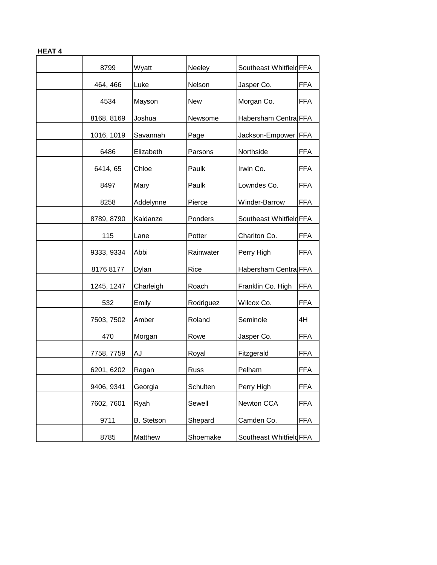| 8799       | Wyatt             | Neeley     | Southeast Whitfield FFA |            |
|------------|-------------------|------------|-------------------------|------------|
| 464, 466   | Luke              | Nelson     | Jasper Co.              | <b>FFA</b> |
| 4534       | Mayson            | <b>New</b> | Morgan Co.              | <b>FFA</b> |
| 8168, 8169 | Joshua            | Newsome    | Habersham Central FFA   |            |
| 1016, 1019 | Savannah          | Page       | Jackson-Empower FFA     |            |
| 6486       | Elizabeth         | Parsons    | Northside               | <b>FFA</b> |
| 6414, 65   | Chloe             | Paulk      | Irwin Co.               | <b>FFA</b> |
| 8497       | Mary              | Paulk      | Lowndes Co.             | <b>FFA</b> |
| 8258       | Addelynne         | Pierce     | Winder-Barrow           | <b>FFA</b> |
| 8789, 8790 | Kaidanze          | Ponders    | Southeast Whitfield FFA |            |
| 115        | Lane              | Potter     | Charlton Co.            | <b>FFA</b> |
| 9333, 9334 | Abbi              | Rainwater  | Perry High              | <b>FFA</b> |
| 8176 8177  | Dylan             | Rice       | Habersham Centra FFA    |            |
| 1245, 1247 | Charleigh         | Roach      | Franklin Co. High       | <b>FFA</b> |
| 532        | Emily             | Rodriguez  | Wilcox Co.              | <b>FFA</b> |
| 7503, 7502 | Amber             | Roland     | Seminole                | 4H         |
| 470        | Morgan            | Rowe       | Jasper Co.              | <b>FFA</b> |
| 7758, 7759 | AJ                | Royal      | Fitzgerald              | <b>FFA</b> |
| 6201, 6202 | Ragan             | Russ       | Pelham                  | <b>FFA</b> |
| 9406, 9341 | Georgia           | Schulten   | Perry High              | <b>FFA</b> |
| 7602, 7601 | Ryah              | Sewell     | Newton CCA              | <b>FFA</b> |
| 9711       | <b>B.</b> Stetson | Shepard    | Camden Co.              | <b>FFA</b> |
| 8785       | Matthew           | Shoemake   | Southeast Whitfield FFA |            |